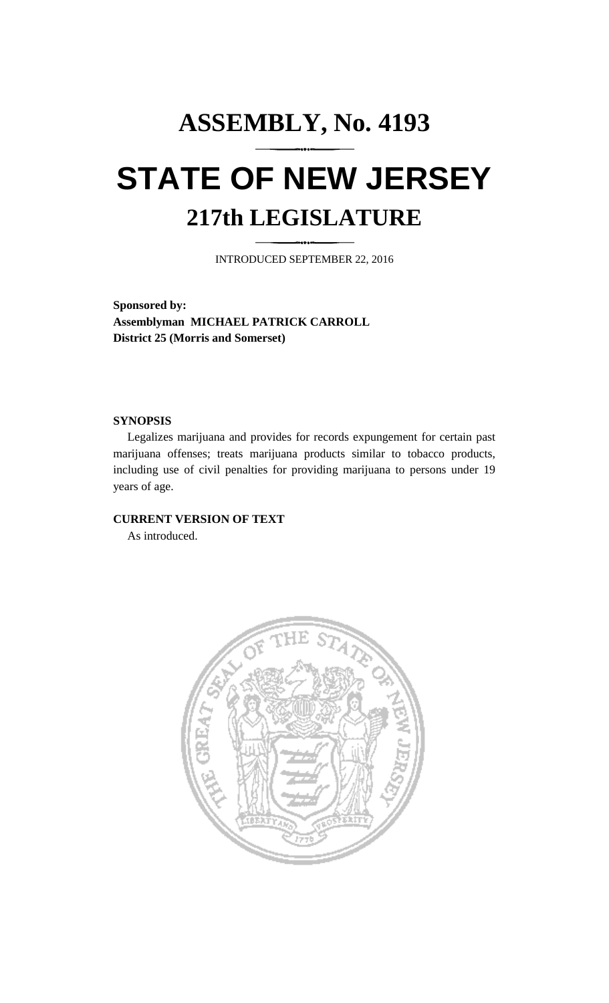# **ASSEMBLY, No. 4193 STATE OF NEW JERSEY 217th LEGISLATURE**

INTRODUCED SEPTEMBER 22, 2016

**Sponsored by: Assemblyman MICHAEL PATRICK CARROLL District 25 (Morris and Somerset)**

## **SYNOPSIS**

Legalizes marijuana and provides for records expungement for certain past marijuana offenses; treats marijuana products similar to tobacco products, including use of civil penalties for providing marijuana to persons under 19 years of age.

# **CURRENT VERSION OF TEXT**

As introduced.

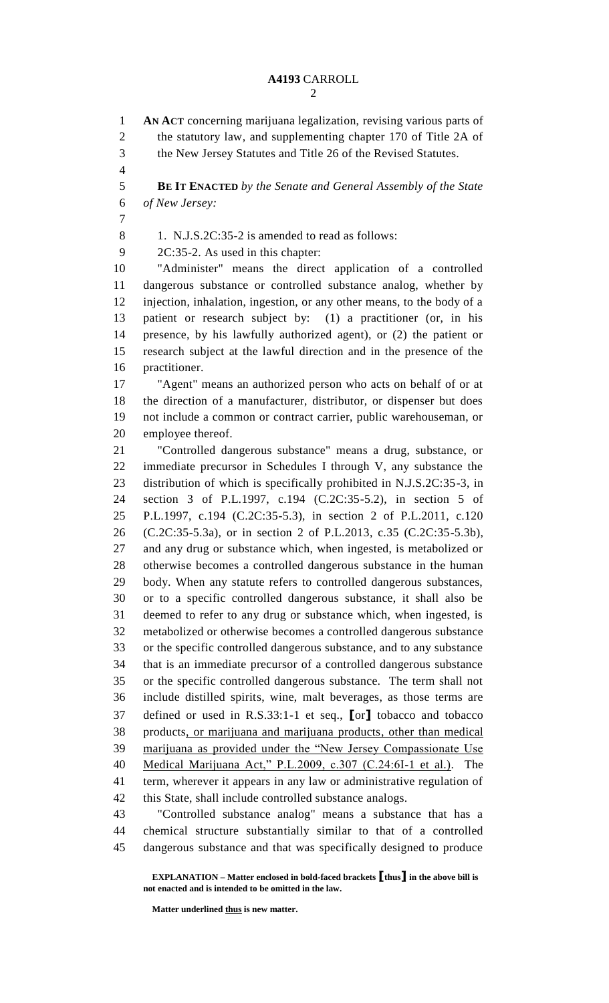**AN ACT** concerning marijuana legalization, revising various parts of the statutory law, and supplementing chapter 170 of Title 2A of the New Jersey Statutes and Title 26 of the Revised Statutes. **BE IT ENACTED** *by the Senate and General Assembly of the State of New Jersey:* 8 1. N.J.S.2C:35-2 is amended to read as follows: 2C:35-2. As used in this chapter: "Administer" means the direct application of a controlled dangerous substance or controlled substance analog, whether by injection, inhalation, ingestion, or any other means, to the body of a patient or research subject by: (1) a practitioner (or, in his presence, by his lawfully authorized agent), or (2) the patient or research subject at the lawful direction and in the presence of the practitioner. "Agent" means an authorized person who acts on behalf of or at the direction of a manufacturer, distributor, or dispenser but does not include a common or contract carrier, public warehouseman, or employee thereof. "Controlled dangerous substance" means a drug, substance, or immediate precursor in Schedules I through V, any substance the distribution of which is specifically prohibited in N.J.S.2C:35-3, in section 3 of P.L.1997, c.194 (C.2C:35-5.2), in section 5 of P.L.1997, c.194 (C.2C:35-5.3), in section 2 of P.L.2011, c.120 (C.2C:35-5.3a), or in section 2 of P.L.2013, c.35 (C.2C:35-5.3b), and any drug or substance which, when ingested, is metabolized or otherwise becomes a controlled dangerous substance in the human body. When any statute refers to controlled dangerous substances, or to a specific controlled dangerous substance, it shall also be deemed to refer to any drug or substance which, when ingested, is metabolized or otherwise becomes a controlled dangerous substance or the specific controlled dangerous substance, and to any substance that is an immediate precursor of a controlled dangerous substance or the specific controlled dangerous substance. The term shall not include distilled spirits, wine, malt beverages, as those terms are defined or used in R.S.33:1-1 et seq., **[**or**]** tobacco and tobacco products, or marijuana and marijuana products, other than medical marijuana as provided under the "New Jersey Compassionate Use Medical Marijuana Act," P.L.2009, c.307 (C.24:6I-1 et al.). The term, wherever it appears in any law or administrative regulation of this State, shall include controlled substance analogs. "Controlled substance analog" means a substance that has a chemical structure substantially similar to that of a controlled dangerous substance and that was specifically designed to produce

**EXPLANATION – Matter enclosed in bold-faced brackets [thus] in the above bill is not enacted and is intended to be omitted in the law.**

**Matter underlined thus is new matter.**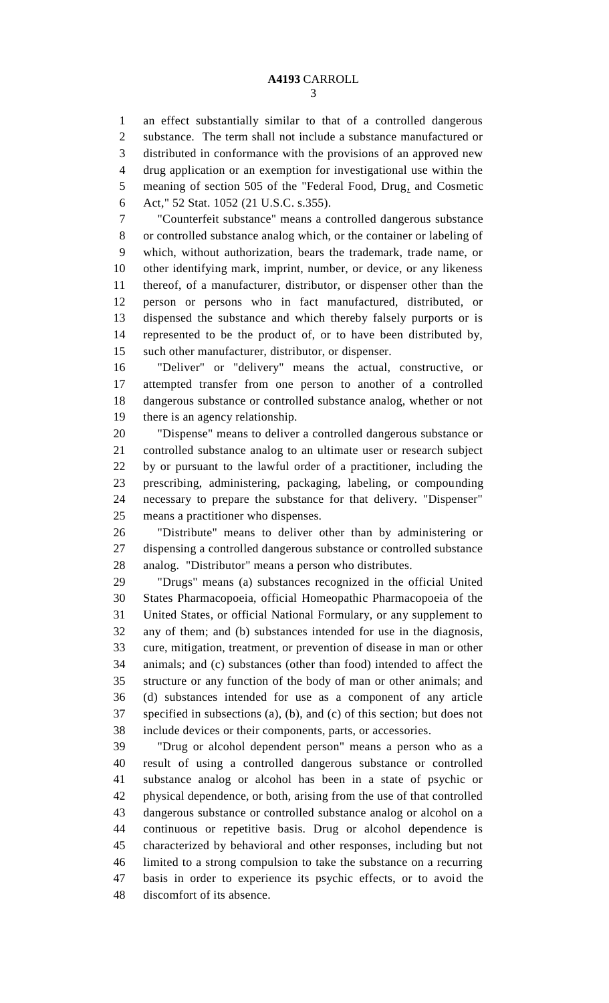an effect substantially similar to that of a controlled dangerous substance. The term shall not include a substance manufactured or distributed in conformance with the provisions of an approved new drug application or an exemption for investigational use within the meaning of section 505 of the "Federal Food, Drug, and Cosmetic Act," 52 Stat. 1052 (21 U.S.C. s.355).

 "Counterfeit substance" means a controlled dangerous substance or controlled substance analog which, or the container or labeling of which, without authorization, bears the trademark, trade name, or other identifying mark, imprint, number, or device, or any likeness thereof, of a manufacturer, distributor, or dispenser other than the person or persons who in fact manufactured, distributed, or dispensed the substance and which thereby falsely purports or is represented to be the product of, or to have been distributed by, such other manufacturer, distributor, or dispenser.

 "Deliver" or "delivery" means the actual, constructive, or attempted transfer from one person to another of a controlled dangerous substance or controlled substance analog, whether or not there is an agency relationship.

 "Dispense" means to deliver a controlled dangerous substance or controlled substance analog to an ultimate user or research subject by or pursuant to the lawful order of a practitioner, including the prescribing, administering, packaging, labeling, or compounding necessary to prepare the substance for that delivery. "Dispenser" means a practitioner who dispenses.

 "Distribute" means to deliver other than by administering or dispensing a controlled dangerous substance or controlled substance analog. "Distributor" means a person who distributes.

 "Drugs" means (a) substances recognized in the official United States Pharmacopoeia, official Homeopathic Pharmacopoeia of the United States, or official National Formulary, or any supplement to any of them; and (b) substances intended for use in the diagnosis, cure, mitigation, treatment, or prevention of disease in man or other animals; and (c) substances (other than food) intended to affect the structure or any function of the body of man or other animals; and (d) substances intended for use as a component of any article specified in subsections (a), (b), and (c) of this section; but does not include devices or their components, parts, or accessories.

 "Drug or alcohol dependent person" means a person who as a result of using a controlled dangerous substance or controlled substance analog or alcohol has been in a state of psychic or physical dependence, or both, arising from the use of that controlled dangerous substance or controlled substance analog or alcohol on a continuous or repetitive basis. Drug or alcohol dependence is characterized by behavioral and other responses, including but not limited to a strong compulsion to take the substance on a recurring basis in order to experience its psychic effects, or to avoid the discomfort of its absence.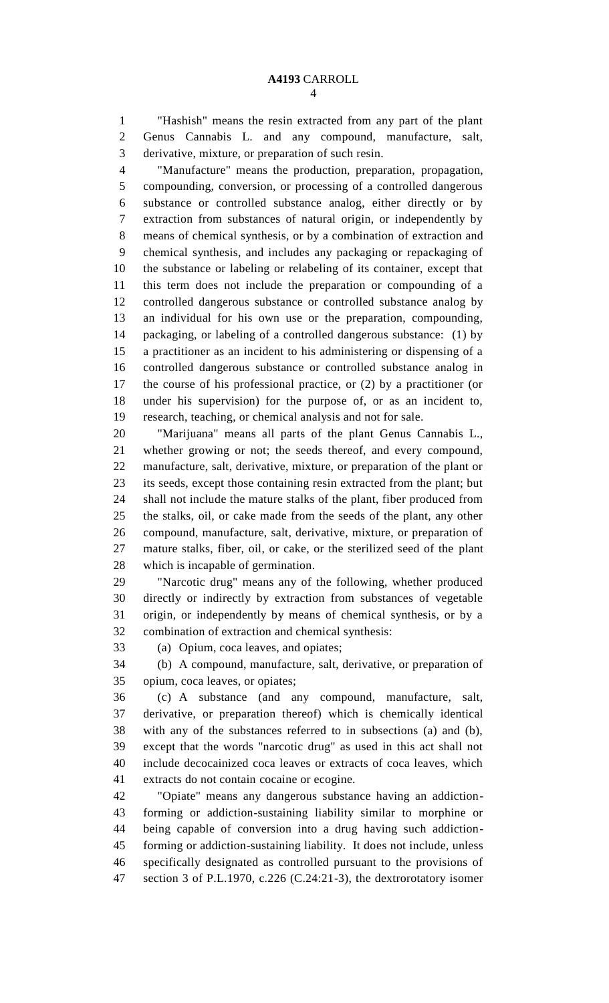"Hashish" means the resin extracted from any part of the plant Genus Cannabis L. and any compound, manufacture, salt, derivative, mixture, or preparation of such resin.

 "Manufacture" means the production, preparation, propagation, compounding, conversion, or processing of a controlled dangerous substance or controlled substance analog, either directly or by extraction from substances of natural origin, or independently by means of chemical synthesis, or by a combination of extraction and chemical synthesis, and includes any packaging or repackaging of the substance or labeling or relabeling of its container, except that this term does not include the preparation or compounding of a controlled dangerous substance or controlled substance analog by an individual for his own use or the preparation, compounding, packaging, or labeling of a controlled dangerous substance: (1) by a practitioner as an incident to his administering or dispensing of a controlled dangerous substance or controlled substance analog in the course of his professional practice, or (2) by a practitioner (or under his supervision) for the purpose of, or as an incident to, research, teaching, or chemical analysis and not for sale.

 "Marijuana" means all parts of the plant Genus Cannabis L., whether growing or not; the seeds thereof, and every compound, manufacture, salt, derivative, mixture, or preparation of the plant or its seeds, except those containing resin extracted from the plant; but shall not include the mature stalks of the plant, fiber produced from the stalks, oil, or cake made from the seeds of the plant, any other compound, manufacture, salt, derivative, mixture, or preparation of mature stalks, fiber, oil, or cake, or the sterilized seed of the plant which is incapable of germination.

 "Narcotic drug" means any of the following, whether produced directly or indirectly by extraction from substances of vegetable origin, or independently by means of chemical synthesis, or by a combination of extraction and chemical synthesis:

(a) Opium, coca leaves, and opiates;

 (b) A compound, manufacture, salt, derivative, or preparation of opium, coca leaves, or opiates;

 (c) A substance (and any compound, manufacture, salt, derivative, or preparation thereof) which is chemically identical with any of the substances referred to in subsections (a) and (b), except that the words "narcotic drug" as used in this act shall not include decocainized coca leaves or extracts of coca leaves, which extracts do not contain cocaine or ecogine.

 "Opiate" means any dangerous substance having an addiction- forming or addiction-sustaining liability similar to morphine or being capable of conversion into a drug having such addiction- forming or addiction-sustaining liability. It does not include, unless specifically designated as controlled pursuant to the provisions of section 3 of P.L.1970, c.226 (C.24:21-3), the dextrorotatory isomer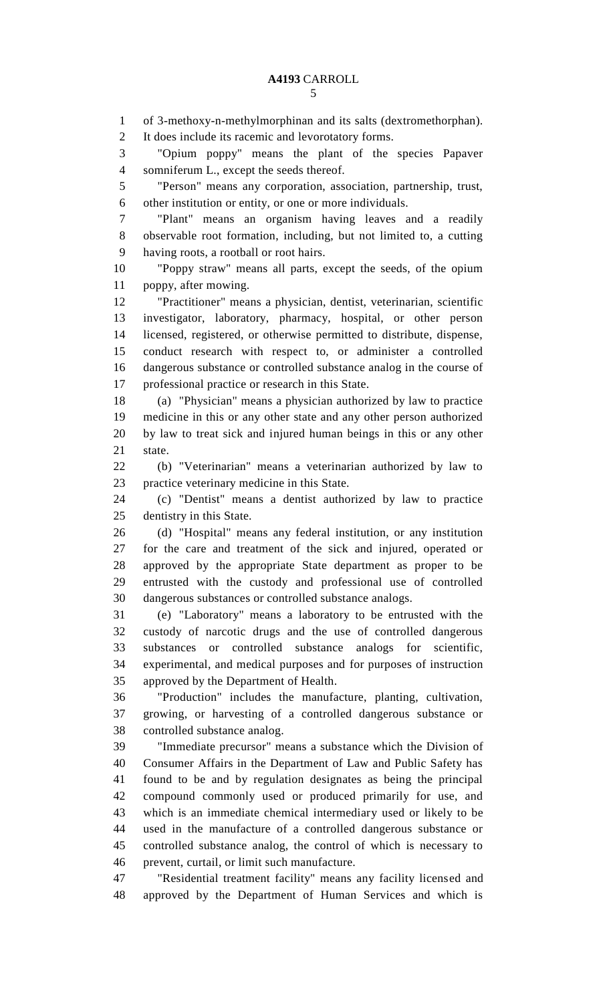of 3-methoxy-n-methylmorphinan and its salts (dextromethorphan). It does include its racemic and levorotatory forms. "Opium poppy" means the plant of the species Papaver somniferum L., except the seeds thereof. "Person" means any corporation, association, partnership, trust, other institution or entity, or one or more individuals. "Plant" means an organism having leaves and a readily observable root formation, including, but not limited to, a cutting having roots, a rootball or root hairs. "Poppy straw" means all parts, except the seeds, of the opium poppy, after mowing. "Practitioner" means a physician, dentist, veterinarian, scientific investigator, laboratory, pharmacy, hospital, or other person licensed, registered, or otherwise permitted to distribute, dispense, conduct research with respect to, or administer a controlled dangerous substance or controlled substance analog in the course of professional practice or research in this State. (a) "Physician" means a physician authorized by law to practice medicine in this or any other state and any other person authorized by law to treat sick and injured human beings in this or any other state. (b) "Veterinarian" means a veterinarian authorized by law to practice veterinary medicine in this State. (c) "Dentist" means a dentist authorized by law to practice dentistry in this State. (d) "Hospital" means any federal institution, or any institution for the care and treatment of the sick and injured, operated or approved by the appropriate State department as proper to be entrusted with the custody and professional use of controlled dangerous substances or controlled substance analogs. (e) "Laboratory" means a laboratory to be entrusted with the custody of narcotic drugs and the use of controlled dangerous substances or controlled substance analogs for scientific, experimental, and medical purposes and for purposes of instruction approved by the Department of Health. "Production" includes the manufacture, planting, cultivation, growing, or harvesting of a controlled dangerous substance or controlled substance analog. "Immediate precursor" means a substance which the Division of Consumer Affairs in the Department of Law and Public Safety has found to be and by regulation designates as being the principal compound commonly used or produced primarily for use, and which is an immediate chemical intermediary used or likely to be used in the manufacture of a controlled dangerous substance or controlled substance analog, the control of which is necessary to prevent, curtail, or limit such manufacture. "Residential treatment facility" means any facility licensed and approved by the Department of Human Services and which is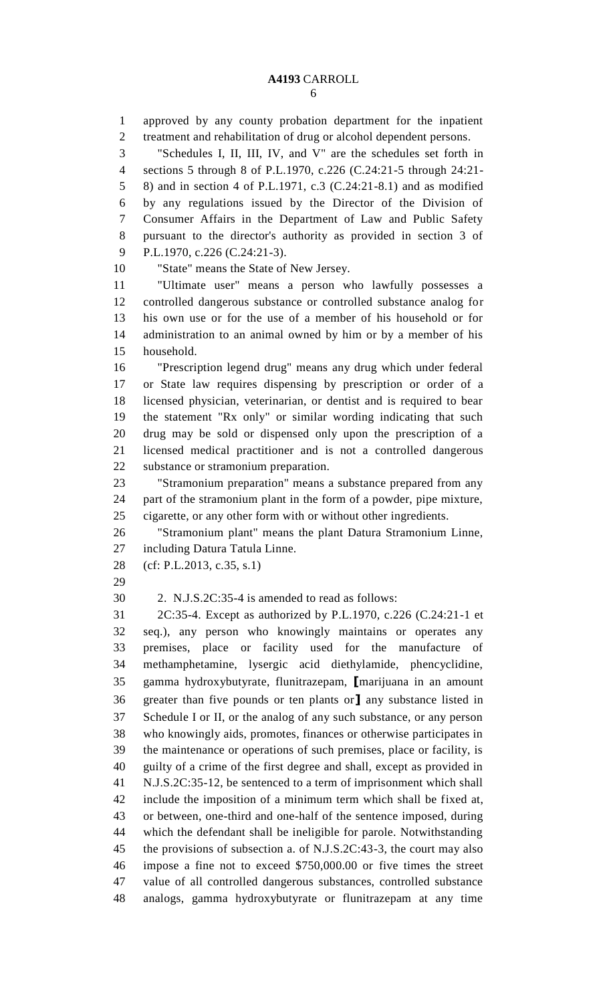approved by any county probation department for the inpatient treatment and rehabilitation of drug or alcohol dependent persons. "Schedules I, II, III, IV, and V" are the schedules set forth in sections 5 through 8 of P.L.1970, c.226 (C.24:21-5 through 24:21- 8) and in section 4 of P.L.1971, c.3 (C.24:21-8.1) and as modified by any regulations issued by the Director of the Division of Consumer Affairs in the Department of Law and Public Safety pursuant to the director's authority as provided in section 3 of P.L.1970, c.226 (C.24:21-3). "State" means the State of New Jersey. "Ultimate user" means a person who lawfully possesses a controlled dangerous substance or controlled substance analog for his own use or for the use of a member of his household or for administration to an animal owned by him or by a member of his household. "Prescription legend drug" means any drug which under federal or State law requires dispensing by prescription or order of a licensed physician, veterinarian, or dentist and is required to bear the statement "Rx only" or similar wording indicating that such drug may be sold or dispensed only upon the prescription of a licensed medical practitioner and is not a controlled dangerous substance or stramonium preparation. "Stramonium preparation" means a substance prepared from any part of the stramonium plant in the form of a powder, pipe mixture, cigarette, or any other form with or without other ingredients. "Stramonium plant" means the plant Datura Stramonium Linne, including Datura Tatula Linne. (cf: P.L.2013, c.35, s.1) 2. N.J.S.2C:35-4 is amended to read as follows: 2C:35-4. Except as authorized by P.L.1970, c.226 (C.24:21-1 et seq.), any person who knowingly maintains or operates any premises, place or facility used for the manufacture of methamphetamine, lysergic acid diethylamide, phencyclidine, gamma hydroxybutyrate, flunitrazepam, **[**marijuana in an amount greater than five pounds or ten plants or**]** any substance listed in Schedule I or II, or the analog of any such substance, or any person who knowingly aids, promotes, finances or otherwise participates in the maintenance or operations of such premises, place or facility, is guilty of a crime of the first degree and shall, except as provided in N.J.S.2C:35-12, be sentenced to a term of imprisonment which shall include the imposition of a minimum term which shall be fixed at, or between, one-third and one-half of the sentence imposed, during which the defendant shall be ineligible for parole. Notwithstanding the provisions of subsection a. of N.J.S.2C:43-3, the court may also impose a fine not to exceed \$750,000.00 or five times the street value of all controlled dangerous substances, controlled substance analogs, gamma hydroxybutyrate or flunitrazepam at any time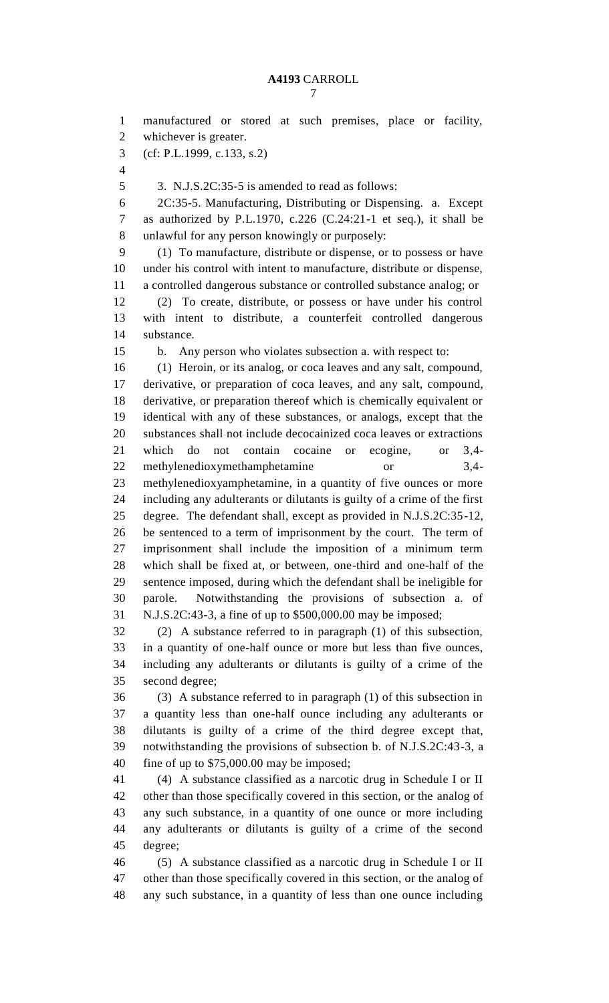manufactured or stored at such premises, place or facility, whichever is greater. (cf: P.L.1999, c.133, s.2) 3. N.J.S.2C:35-5 is amended to read as follows: 2C:35-5. Manufacturing, Distributing or Dispensing. a. Except as authorized by P.L.1970, c.226 (C.24:21-1 et seq.), it shall be unlawful for any person knowingly or purposely: (1) To manufacture, distribute or dispense, or to possess or have under his control with intent to manufacture, distribute or dispense, a controlled dangerous substance or controlled substance analog; or (2) To create, distribute, or possess or have under his control with intent to distribute, a counterfeit controlled dangerous substance. b. Any person who violates subsection a. with respect to: (1) Heroin, or its analog, or coca leaves and any salt, compound, derivative, or preparation of coca leaves, and any salt, compound, derivative, or preparation thereof which is chemically equivalent or identical with any of these substances, or analogs, except that the substances shall not include decocainized coca leaves or extractions which do not contain cocaine or ecogine, or 3,4- 22 methylenedioxymethamphetamine or 3,4- methylenedioxyamphetamine, in a quantity of five ounces or more including any adulterants or dilutants is guilty of a crime of the first degree. The defendant shall, except as provided in N.J.S.2C:35-12, be sentenced to a term of imprisonment by the court. The term of imprisonment shall include the imposition of a minimum term which shall be fixed at, or between, one-third and one-half of the sentence imposed, during which the defendant shall be ineligible for parole. Notwithstanding the provisions of subsection a. of N.J.S.2C:43-3, a fine of up to \$500,000.00 may be imposed; (2) A substance referred to in paragraph (1) of this subsection, in a quantity of one-half ounce or more but less than five ounces, including any adulterants or dilutants is guilty of a crime of the second degree; (3) A substance referred to in paragraph (1) of this subsection in a quantity less than one-half ounce including any adulterants or dilutants is guilty of a crime of the third degree except that, notwithstanding the provisions of subsection b. of N.J.S.2C:43-3, a fine of up to \$75,000.00 may be imposed; (4) A substance classified as a narcotic drug in Schedule I or II

 other than those specifically covered in this section, or the analog of any such substance, in a quantity of one ounce or more including any adulterants or dilutants is guilty of a crime of the second degree;

 (5) A substance classified as a narcotic drug in Schedule I or II other than those specifically covered in this section, or the analog of any such substance, in a quantity of less than one ounce including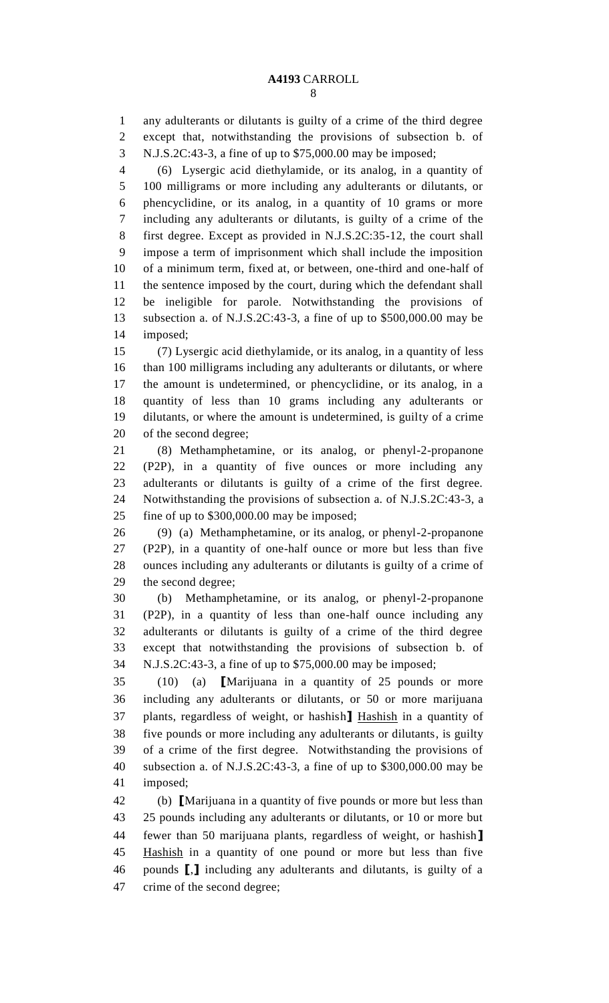any adulterants or dilutants is guilty of a crime of the third degree except that, notwithstanding the provisions of subsection b. of N.J.S.2C:43-3, a fine of up to \$75,000.00 may be imposed; (6) Lysergic acid diethylamide, or its analog, in a quantity of 100 milligrams or more including any adulterants or dilutants, or phencyclidine, or its analog, in a quantity of 10 grams or more including any adulterants or dilutants, is guilty of a crime of the first degree. Except as provided in N.J.S.2C:35-12, the court shall impose a term of imprisonment which shall include the imposition of a minimum term, fixed at, or between, one-third and one-half of the sentence imposed by the court, during which the defendant shall be ineligible for parole. Notwithstanding the provisions of subsection a. of N.J.S.2C:43-3, a fine of up to \$500,000.00 may be imposed; (7) Lysergic acid diethylamide, or its analog, in a quantity of less than 100 milligrams including any adulterants or dilutants, or where the amount is undetermined, or phencyclidine, or its analog, in a quantity of less than 10 grams including any adulterants or dilutants, or where the amount is undetermined, is guilty of a crime of the second degree; (8) Methamphetamine, or its analog, or phenyl-2-propanone (P2P), in a quantity of five ounces or more including any adulterants or dilutants is guilty of a crime of the first degree. Notwithstanding the provisions of subsection a. of N.J.S.2C:43-3, a fine of up to \$300,000.00 may be imposed; (9) (a) Methamphetamine, or its analog, or phenyl-2-propanone (P2P), in a quantity of one-half ounce or more but less than five ounces including any adulterants or dilutants is guilty of a crime of the second degree; (b) Methamphetamine, or its analog, or phenyl-2-propanone (P2P), in a quantity of less than one-half ounce including any adulterants or dilutants is guilty of a crime of the third degree except that notwithstanding the provisions of subsection b. of N.J.S.2C:43-3, a fine of up to \$75,000.00 may be imposed; (10) (a) **[**Marijuana in a quantity of 25 pounds or more including any adulterants or dilutants, or 50 or more marijuana plants, regardless of weight, or hashish**]** Hashish in a quantity of five pounds or more including any adulterants or dilutants, is guilty of a crime of the first degree. Notwithstanding the provisions of subsection a. of N.J.S.2C:43-3, a fine of up to \$300,000.00 may be imposed; (b) **[**Marijuana in a quantity of five pounds or more but less than 25 pounds including any adulterants or dilutants, or 10 or more but fewer than 50 marijuana plants, regardless of weight, or hashish**]**

 Hashish in a quantity of one pound or more but less than five pounds **[**,**]** including any adulterants and dilutants, is guilty of a crime of the second degree;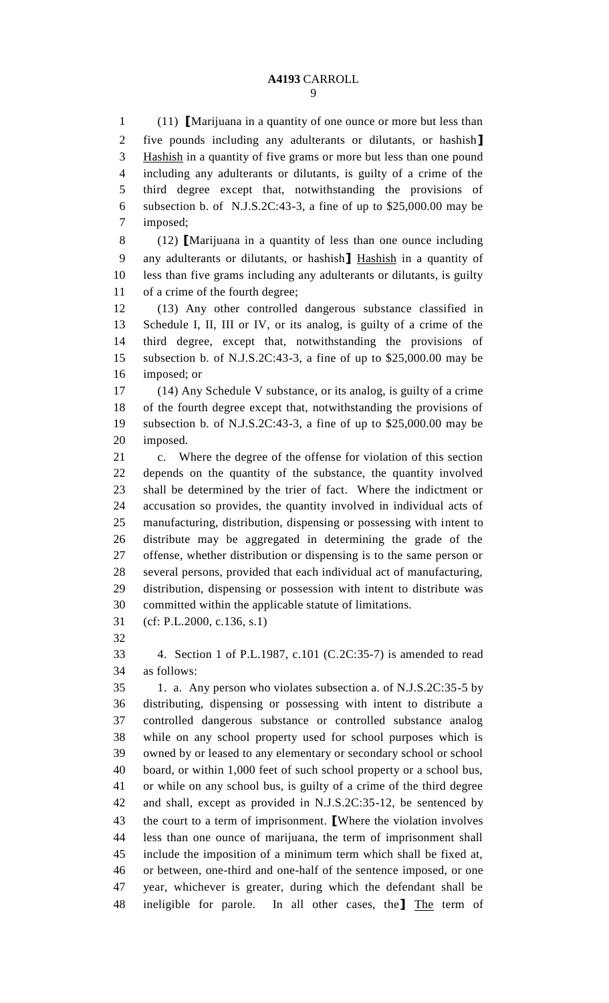(11) **[**Marijuana in a quantity of one ounce or more but less than five pounds including any adulterants or dilutants, or hashish**]** Hashish in a quantity of five grams or more but less than one pound including any adulterants or dilutants, is guilty of a crime of the third degree except that, notwithstanding the provisions of subsection b. of N.J.S.2C:43-3, a fine of up to \$25,000.00 may be imposed;

 (12) **[**Marijuana in a quantity of less than one ounce including any adulterants or dilutants, or hashish**]** Hashish in a quantity of less than five grams including any adulterants or dilutants, is guilty of a crime of the fourth degree;

 (13) Any other controlled dangerous substance classified in Schedule I, II, III or IV, or its analog, is guilty of a crime of the third degree, except that, notwithstanding the provisions of subsection b. of N.J.S.2C:43-3, a fine of up to \$25,000.00 may be imposed; or

 (14) Any Schedule V substance, or its analog, is guilty of a crime of the fourth degree except that, notwithstanding the provisions of subsection b. of N.J.S.2C:43-3, a fine of up to \$25,000.00 may be imposed.

 c. Where the degree of the offense for violation of this section depends on the quantity of the substance, the quantity involved shall be determined by the trier of fact. Where the indictment or accusation so provides, the quantity involved in individual acts of manufacturing, distribution, dispensing or possessing with intent to distribute may be aggregated in determining the grade of the offense, whether distribution or dispensing is to the same person or several persons, provided that each individual act of manufacturing, distribution, dispensing or possession with intent to distribute was committed within the applicable statute of limitations.

(cf: P.L.2000, c.136, s.1)

 4. Section 1 of P.L.1987, c.101 (C.2C:35-7) is amended to read as follows:

 1. a. Any person who violates subsection a. of N.J.S.2C:35-5 by distributing, dispensing or possessing with intent to distribute a controlled dangerous substance or controlled substance analog while on any school property used for school purposes which is owned by or leased to any elementary or secondary school or school board, or within 1,000 feet of such school property or a school bus, or while on any school bus, is guilty of a crime of the third degree and shall, except as provided in N.J.S.2C:35-12, be sentenced by the court to a term of imprisonment. **[**Where the violation involves less than one ounce of marijuana, the term of imprisonment shall include the imposition of a minimum term which shall be fixed at, or between, one-third and one-half of the sentence imposed, or one year, whichever is greater, during which the defendant shall be ineligible for parole. In all other cases, the**]** The term of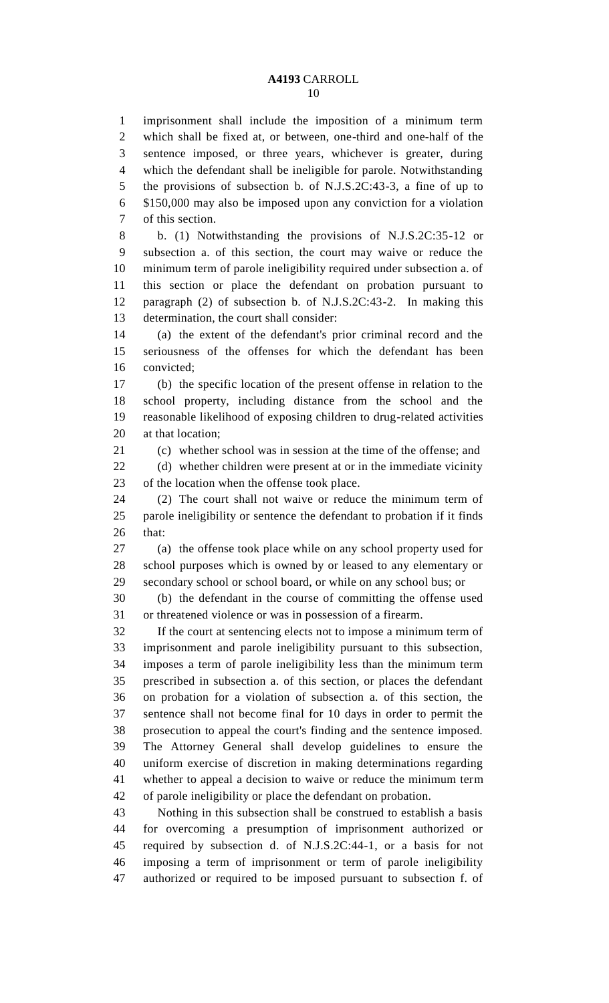imprisonment shall include the imposition of a minimum term which shall be fixed at, or between, one-third and one-half of the sentence imposed, or three years, whichever is greater, during which the defendant shall be ineligible for parole. Notwithstanding the provisions of subsection b. of N.J.S.2C:43-3, a fine of up to \$150,000 may also be imposed upon any conviction for a violation of this section.

 b. (1) Notwithstanding the provisions of N.J.S.2C:35-12 or subsection a. of this section, the court may waive or reduce the minimum term of parole ineligibility required under subsection a. of this section or place the defendant on probation pursuant to paragraph (2) of subsection b. of N.J.S.2C:43-2. In making this determination, the court shall consider:

 (a) the extent of the defendant's prior criminal record and the seriousness of the offenses for which the defendant has been convicted;

 (b) the specific location of the present offense in relation to the school property, including distance from the school and the reasonable likelihood of exposing children to drug-related activities at that location;

(c) whether school was in session at the time of the offense; and

 (d) whether children were present at or in the immediate vicinity of the location when the offense took place.

 (2) The court shall not waive or reduce the minimum term of parole ineligibility or sentence the defendant to probation if it finds that:

 (a) the offense took place while on any school property used for school purposes which is owned by or leased to any elementary or secondary school or school board, or while on any school bus; or

 (b) the defendant in the course of committing the offense used or threatened violence or was in possession of a firearm.

 If the court at sentencing elects not to impose a minimum term of imprisonment and parole ineligibility pursuant to this subsection, imposes a term of parole ineligibility less than the minimum term prescribed in subsection a. of this section, or places the defendant on probation for a violation of subsection a. of this section, the sentence shall not become final for 10 days in order to permit the prosecution to appeal the court's finding and the sentence imposed. The Attorney General shall develop guidelines to ensure the uniform exercise of discretion in making determinations regarding whether to appeal a decision to waive or reduce the minimum term of parole ineligibility or place the defendant on probation.

 Nothing in this subsection shall be construed to establish a basis for overcoming a presumption of imprisonment authorized or required by subsection d. of N.J.S.2C:44-1, or a basis for not imposing a term of imprisonment or term of parole ineligibility authorized or required to be imposed pursuant to subsection f. of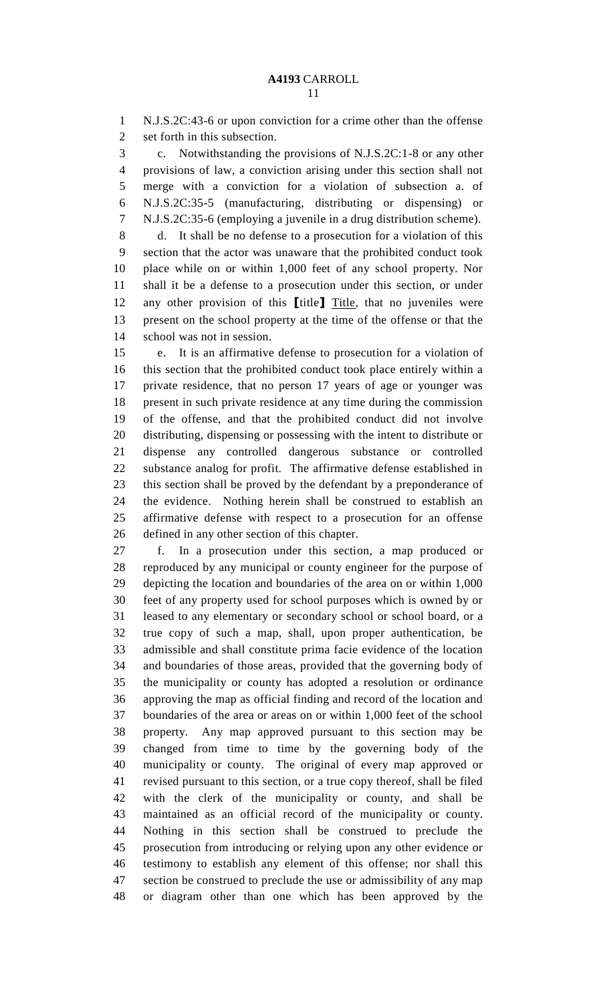N.J.S.2C:43-6 or upon conviction for a crime other than the offense set forth in this subsection.

 c. Notwithstanding the provisions of N.J.S.2C:1-8 or any other provisions of law, a conviction arising under this section shall not merge with a conviction for a violation of subsection a. of N.J.S.2C:35-5 (manufacturing, distributing or dispensing) or N.J.S.2C:35-6 (employing a juvenile in a drug distribution scheme).

 d. It shall be no defense to a prosecution for a violation of this section that the actor was unaware that the prohibited conduct took place while on or within 1,000 feet of any school property. Nor shall it be a defense to a prosecution under this section, or under any other provision of this **[**title**]** Title, that no juveniles were present on the school property at the time of the offense or that the school was not in session.

 e. It is an affirmative defense to prosecution for a violation of this section that the prohibited conduct took place entirely within a private residence, that no person 17 years of age or younger was present in such private residence at any time during the commission of the offense, and that the prohibited conduct did not involve distributing, dispensing or possessing with the intent to distribute or dispense any controlled dangerous substance or controlled substance analog for profit. The affirmative defense established in this section shall be proved by the defendant by a preponderance of the evidence. Nothing herein shall be construed to establish an affirmative defense with respect to a prosecution for an offense defined in any other section of this chapter.

 f. In a prosecution under this section, a map produced or reproduced by any municipal or county engineer for the purpose of depicting the location and boundaries of the area on or within 1,000 feet of any property used for school purposes which is owned by or leased to any elementary or secondary school or school board, or a true copy of such a map, shall, upon proper authentication, be admissible and shall constitute prima facie evidence of the location and boundaries of those areas, provided that the governing body of the municipality or county has adopted a resolution or ordinance approving the map as official finding and record of the location and boundaries of the area or areas on or within 1,000 feet of the school property. Any map approved pursuant to this section may be changed from time to time by the governing body of the municipality or county. The original of every map approved or revised pursuant to this section, or a true copy thereof, shall be filed with the clerk of the municipality or county, and shall be maintained as an official record of the municipality or county. Nothing in this section shall be construed to preclude the prosecution from introducing or relying upon any other evidence or testimony to establish any element of this offense; nor shall this section be construed to preclude the use or admissibility of any map or diagram other than one which has been approved by the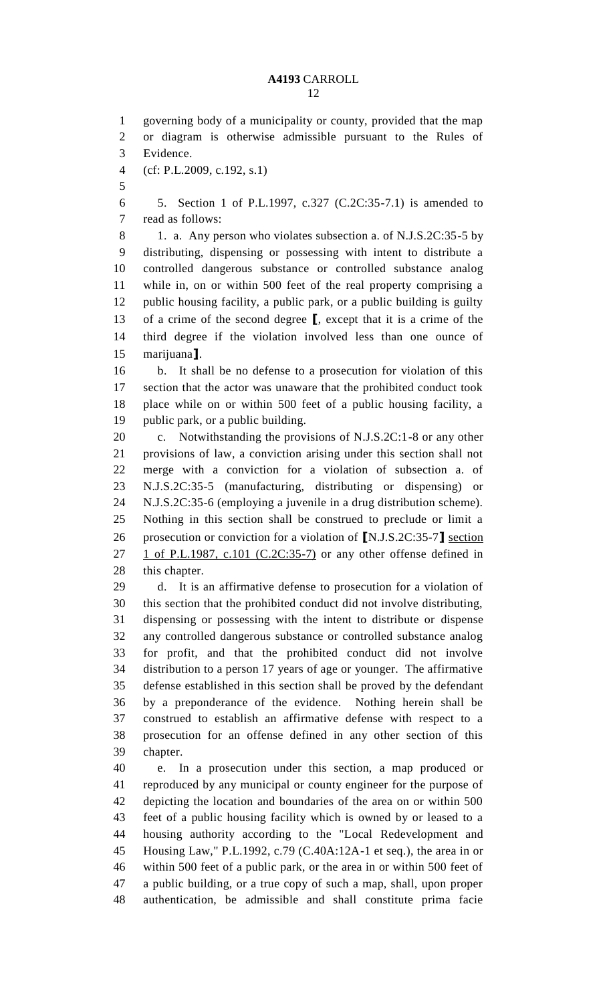governing body of a municipality or county, provided that the map or diagram is otherwise admissible pursuant to the Rules of Evidence. (cf: P.L.2009, c.192, s.1) 5. Section 1 of P.L.1997, c.327 (C.2C:35-7.1) is amended to read as follows: 8 1. a. Any person who violates subsection a. of N.J.S.2C:35-5 by distributing, dispensing or possessing with intent to distribute a controlled dangerous substance or controlled substance analog while in, on or within 500 feet of the real property comprising a public housing facility, a public park, or a public building is guilty of a crime of the second degree **[**, except that it is a crime of the third degree if the violation involved less than one ounce of marijuana**]**. b. It shall be no defense to a prosecution for violation of this section that the actor was unaware that the prohibited conduct took place while on or within 500 feet of a public housing facility, a public park, or a public building. c. Notwithstanding the provisions of N.J.S.2C:1-8 or any other provisions of law, a conviction arising under this section shall not merge with a conviction for a violation of subsection a. of N.J.S.2C:35-5 (manufacturing, distributing or dispensing) or N.J.S.2C:35-6 (employing a juvenile in a drug distribution scheme). Nothing in this section shall be construed to preclude or limit a prosecution or conviction for a violation of **[**N.J.S.2C:35-7**]** section 27 1 of P.L.1987, c.101  $(C.2C:35-7)$  or any other offense defined in this chapter. d. It is an affirmative defense to prosecution for a violation of this section that the prohibited conduct did not involve distributing, dispensing or possessing with the intent to distribute or dispense any controlled dangerous substance or controlled substance analog for profit, and that the prohibited conduct did not involve distribution to a person 17 years of age or younger. The affirmative defense established in this section shall be proved by the defendant by a preponderance of the evidence. Nothing herein shall be construed to establish an affirmative defense with respect to a prosecution for an offense defined in any other section of this chapter. e. In a prosecution under this section, a map produced or reproduced by any municipal or county engineer for the purpose of depicting the location and boundaries of the area on or within 500 feet of a public housing facility which is owned by or leased to a housing authority according to the "Local Redevelopment and Housing Law," P.L.1992, c.79 (C.40A:12A-1 et seq.), the area in or within 500 feet of a public park, or the area in or within 500 feet of a public building, or a true copy of such a map, shall, upon proper authentication, be admissible and shall constitute prima facie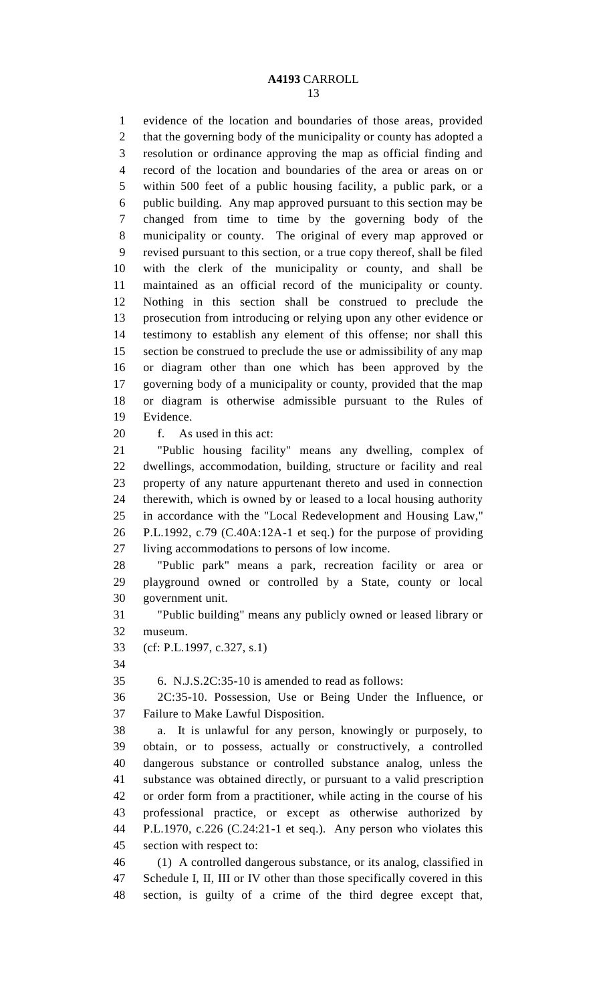evidence of the location and boundaries of those areas, provided that the governing body of the municipality or county has adopted a resolution or ordinance approving the map as official finding and record of the location and boundaries of the area or areas on or within 500 feet of a public housing facility, a public park, or a public building. Any map approved pursuant to this section may be changed from time to time by the governing body of the municipality or county. The original of every map approved or revised pursuant to this section, or a true copy thereof, shall be filed with the clerk of the municipality or county, and shall be maintained as an official record of the municipality or county. Nothing in this section shall be construed to preclude the prosecution from introducing or relying upon any other evidence or testimony to establish any element of this offense; nor shall this section be construed to preclude the use or admissibility of any map or diagram other than one which has been approved by the governing body of a municipality or county, provided that the map or diagram is otherwise admissible pursuant to the Rules of Evidence.

f. As used in this act:

 "Public housing facility" means any dwelling, complex of dwellings, accommodation, building, structure or facility and real property of any nature appurtenant thereto and used in connection therewith, which is owned by or leased to a local housing authority in accordance with the "Local Redevelopment and Housing Law," P.L.1992, c.79 (C.40A:12A-1 et seq.) for the purpose of providing living accommodations to persons of low income.

 "Public park" means a park, recreation facility or area or playground owned or controlled by a State, county or local government unit.

 "Public building" means any publicly owned or leased library or museum.

(cf: P.L.1997, c.327, s.1)

6. N.J.S.2C:35-10 is amended to read as follows:

 2C:35-10. Possession, Use or Being Under the Influence, or Failure to Make Lawful Disposition.

 a. It is unlawful for any person, knowingly or purposely, to obtain, or to possess, actually or constructively, a controlled dangerous substance or controlled substance analog, unless the substance was obtained directly, or pursuant to a valid prescription or order form from a practitioner, while acting in the course of his professional practice, or except as otherwise authorized by P.L.1970, c.226 (C.24:21-1 et seq.). Any person who violates this section with respect to:

 (1) A controlled dangerous substance, or its analog, classified in Schedule I, II, III or IV other than those specifically covered in this section, is guilty of a crime of the third degree except that,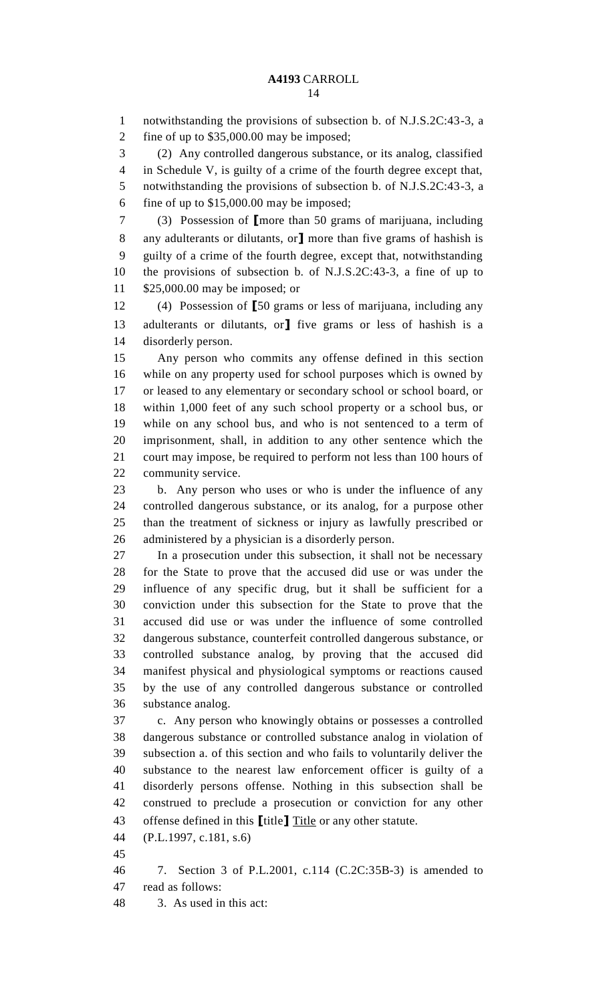notwithstanding the provisions of subsection b. of N.J.S.2C:43-3, a fine of up to \$35,000.00 may be imposed;

(2) Any controlled dangerous substance, or its analog, classified

in Schedule V, is guilty of a crime of the fourth degree except that,

 notwithstanding the provisions of subsection b. of N.J.S.2C:43-3, a fine of up to \$15,000.00 may be imposed;

 (3) Possession of **[**more than 50 grams of marijuana, including any adulterants or dilutants, or**]** more than five grams of hashish is guilty of a crime of the fourth degree, except that, notwithstanding the provisions of subsection b. of N.J.S.2C:43-3, a fine of up to \$25,000.00 may be imposed; or

 (4) Possession of **[**50 grams or less of marijuana, including any adulterants or dilutants, or**]** five grams or less of hashish is a disorderly person.

 Any person who commits any offense defined in this section while on any property used for school purposes which is owned by or leased to any elementary or secondary school or school board, or within 1,000 feet of any such school property or a school bus, or while on any school bus, and who is not sentenced to a term of imprisonment, shall, in addition to any other sentence which the court may impose, be required to perform not less than 100 hours of community service.

 b. Any person who uses or who is under the influence of any controlled dangerous substance, or its analog, for a purpose other than the treatment of sickness or injury as lawfully prescribed or administered by a physician is a disorderly person.

 In a prosecution under this subsection, it shall not be necessary for the State to prove that the accused did use or was under the influence of any specific drug, but it shall be sufficient for a conviction under this subsection for the State to prove that the accused did use or was under the influence of some controlled dangerous substance, counterfeit controlled dangerous substance, or controlled substance analog, by proving that the accused did manifest physical and physiological symptoms or reactions caused by the use of any controlled dangerous substance or controlled substance analog.

 c. Any person who knowingly obtains or possesses a controlled dangerous substance or controlled substance analog in violation of subsection a. of this section and who fails to voluntarily deliver the substance to the nearest law enforcement officer is guilty of a disorderly persons offense. Nothing in this subsection shall be construed to preclude a prosecution or conviction for any other offense defined in this **[**title**]** Title or any other statute.

(P.L.1997, c.181, s.6)

 7. Section 3 of P.L.2001, c.114 (C.2C:35B-3) is amended to read as follows:

3. As used in this act: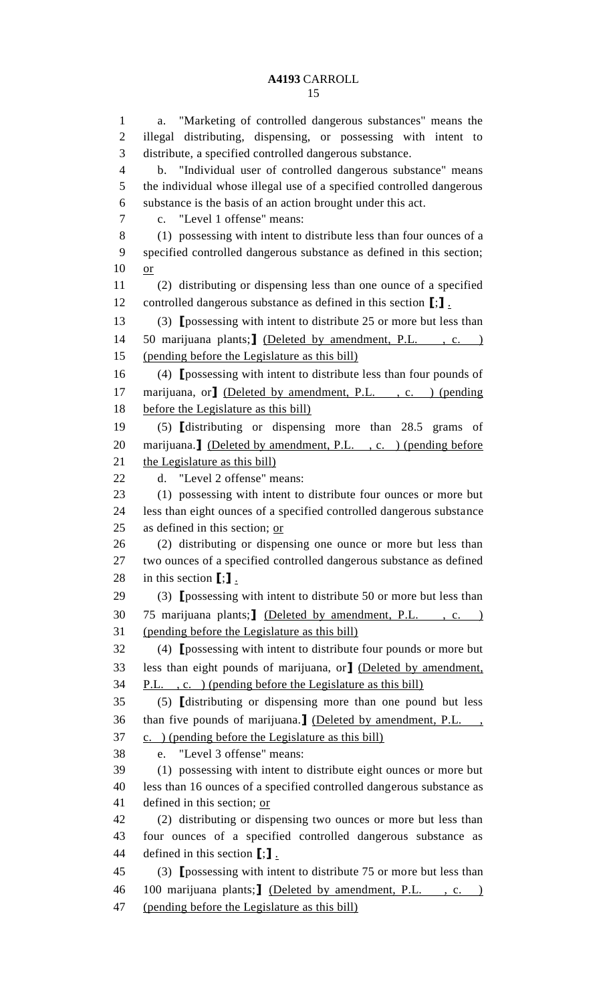a. "Marketing of controlled dangerous substances" means the illegal distributing, dispensing, or possessing with intent to distribute, a specified controlled dangerous substance. b. "Individual user of controlled dangerous substance" means the individual whose illegal use of a specified controlled dangerous substance is the basis of an action brought under this act. c. "Level 1 offense" means: (1) possessing with intent to distribute less than four ounces of a specified controlled dangerous substance as defined in this section; or (2) distributing or dispensing less than one ounce of a specified controlled dangerous substance as defined in this section **[**;**]** . (3) **[**possessing with intent to distribute 25 or more but less than 14 50 marijuana plants;**]** (Deleted by amendment, P.L., c.) (pending before the Legislature as this bill) (4) **[**possessing with intent to distribute less than four pounds of 17 marijuana, or<sub>1</sub> (Deleted by amendment, P.L., c.) (pending 18 before the Legislature as this bill) (5) **[**distributing or dispensing more than 28.5 grams of marijuana.**]** (Deleted by amendment, P.L. , c. ) (pending before 21 the Legislature as this bill) d. "Level 2 offense" means: (1) possessing with intent to distribute four ounces or more but less than eight ounces of a specified controlled dangerous substance as defined in this section; or (2) distributing or dispensing one ounce or more but less than two ounces of a specified controlled dangerous substance as defined in this section **[**;**]** . (3) **[**possessing with intent to distribute 50 or more but less than 75 marijuana plants;**]** (Deleted by amendment, P.L. , c. ) (pending before the Legislature as this bill) (4) **[**possessing with intent to distribute four pounds or more but less than eight pounds of marijuana, or**]** (Deleted by amendment, P.L. , c. ) (pending before the Legislature as this bill) (5) **[**distributing or dispensing more than one pound but less than five pounds of marijuana.**]** (Deleted by amendment, P.L. , c. ) (pending before the Legislature as this bill) e. "Level 3 offense" means: (1) possessing with intent to distribute eight ounces or more but less than 16 ounces of a specified controlled dangerous substance as defined in this section; or (2) distributing or dispensing two ounces or more but less than four ounces of a specified controlled dangerous substance as defined in this section **[**;**]** . (3) **[**possessing with intent to distribute 75 or more but less than 100 marijuana plants;**]** (Deleted by amendment, P.L. , c. ) (pending before the Legislature as this bill)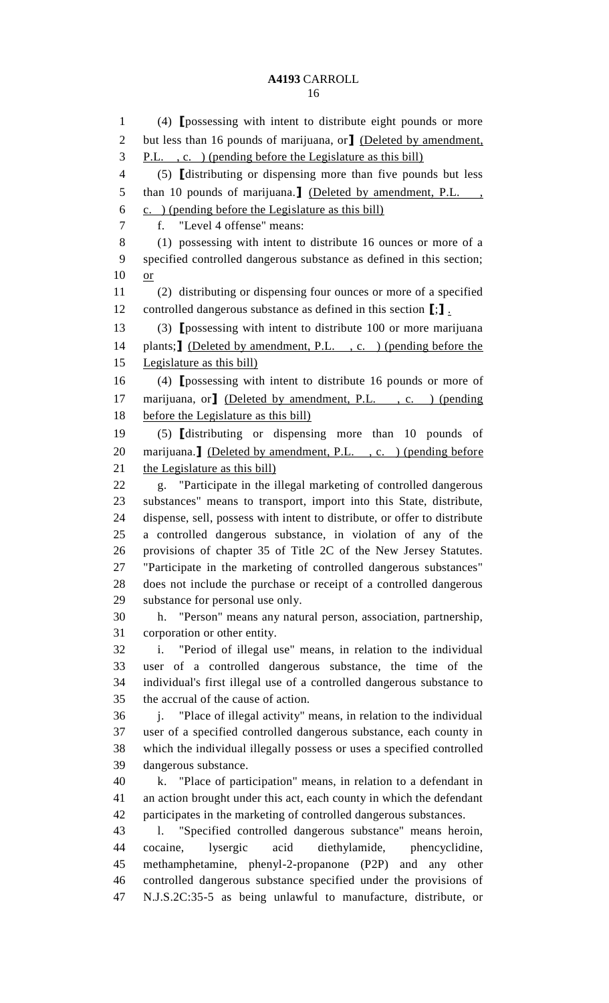(4) **[**possessing with intent to distribute eight pounds or more but less than 16 pounds of marijuana, or**]** (Deleted by amendment, P.L. , c. ) (pending before the Legislature as this bill) (5) **[**distributing or dispensing more than five pounds but less than 10 pounds of marijuana.**]** (Deleted by amendment, P.L. , c. ) (pending before the Legislature as this bill) f. "Level 4 offense" means: (1) possessing with intent to distribute 16 ounces or more of a specified controlled dangerous substance as defined in this section; or (2) distributing or dispensing four ounces or more of a specified controlled dangerous substance as defined in this section **[**;**]** . (3) **[**possessing with intent to distribute 100 or more marijuana 14 plants;**]** (Deleted by amendment, P.L., c. ) (pending before the Legislature as this bill) (4) **[**possessing with intent to distribute 16 pounds or more of 17 marijuana, or<sub>1</sub> (Deleted by amendment, P.L., c.) (pending 18 before the Legislature as this bill) (5) **[**distributing or dispensing more than 10 pounds of marijuana.**]** (Deleted by amendment, P.L. , c. ) (pending before 21 the Legislature as this bill) g. "Participate in the illegal marketing of controlled dangerous substances" means to transport, import into this State, distribute, dispense, sell, possess with intent to distribute, or offer to distribute a controlled dangerous substance, in violation of any of the provisions of chapter 35 of Title 2C of the New Jersey Statutes. "Participate in the marketing of controlled dangerous substances" does not include the purchase or receipt of a controlled dangerous substance for personal use only. h. "Person" means any natural person, association, partnership, corporation or other entity. i. "Period of illegal use" means, in relation to the individual user of a controlled dangerous substance, the time of the individual's first illegal use of a controlled dangerous substance to the accrual of the cause of action. j. "Place of illegal activity" means, in relation to the individual user of a specified controlled dangerous substance, each county in which the individual illegally possess or uses a specified controlled dangerous substance. k. "Place of participation" means, in relation to a defendant in an action brought under this act, each county in which the defendant participates in the marketing of controlled dangerous substances. l. "Specified controlled dangerous substance" means heroin, cocaine, lysergic acid diethylamide, phencyclidine, methamphetamine, phenyl-2-propanone (P2P) and any other controlled dangerous substance specified under the provisions of N.J.S.2C:35-5 as being unlawful to manufacture, distribute, or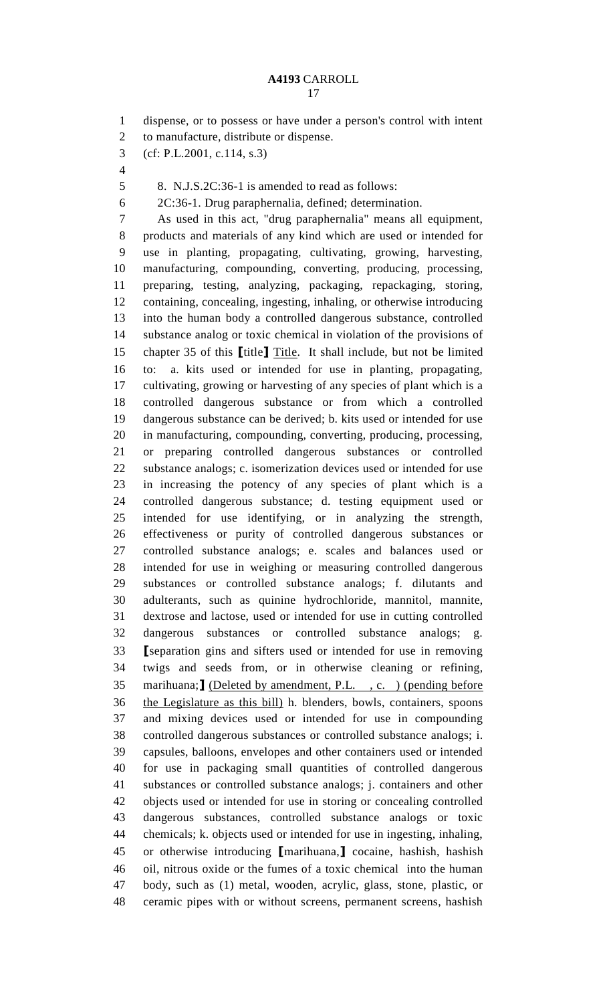dispense, or to possess or have under a person's control with intent

to manufacture, distribute or dispense.

- (cf: P.L.2001, c.114, s.3)
- 

8. N.J.S.2C:36-1 is amended to read as follows:

2C:36-1. Drug paraphernalia, defined; determination.

 As used in this act, "drug paraphernalia" means all equipment, products and materials of any kind which are used or intended for use in planting, propagating, cultivating, growing, harvesting, manufacturing, compounding, converting, producing, processing, preparing, testing, analyzing, packaging, repackaging, storing, containing, concealing, ingesting, inhaling, or otherwise introducing into the human body a controlled dangerous substance, controlled substance analog or toxic chemical in violation of the provisions of chapter 35 of this **[**title**]** Title. It shall include, but not be limited to: a. kits used or intended for use in planting, propagating, cultivating, growing or harvesting of any species of plant which is a controlled dangerous substance or from which a controlled dangerous substance can be derived; b. kits used or intended for use in manufacturing, compounding, converting, producing, processing, or preparing controlled dangerous substances or controlled substance analogs; c. isomerization devices used or intended for use in increasing the potency of any species of plant which is a controlled dangerous substance; d. testing equipment used or intended for use identifying, or in analyzing the strength, effectiveness or purity of controlled dangerous substances or controlled substance analogs; e. scales and balances used or intended for use in weighing or measuring controlled dangerous substances or controlled substance analogs; f. dilutants and adulterants, such as quinine hydrochloride, mannitol, mannite, dextrose and lactose, used or intended for use in cutting controlled dangerous substances or controlled substance analogs; g. **[**separation gins and sifters used or intended for use in removing twigs and seeds from, or in otherwise cleaning or refining, marihuana;**]** (Deleted by amendment, P.L. , c. ) (pending before the Legislature as this bill) h. blenders, bowls, containers, spoons and mixing devices used or intended for use in compounding controlled dangerous substances or controlled substance analogs; i. capsules, balloons, envelopes and other containers used or intended for use in packaging small quantities of controlled dangerous substances or controlled substance analogs; j. containers and other objects used or intended for use in storing or concealing controlled dangerous substances, controlled substance analogs or toxic chemicals; k. objects used or intended for use in ingesting, inhaling, or otherwise introducing **[**marihuana,**]** cocaine, hashish, hashish oil, nitrous oxide or the fumes of a toxic chemical into the human body, such as (1) metal, wooden, acrylic, glass, stone, plastic, or ceramic pipes with or without screens, permanent screens, hashish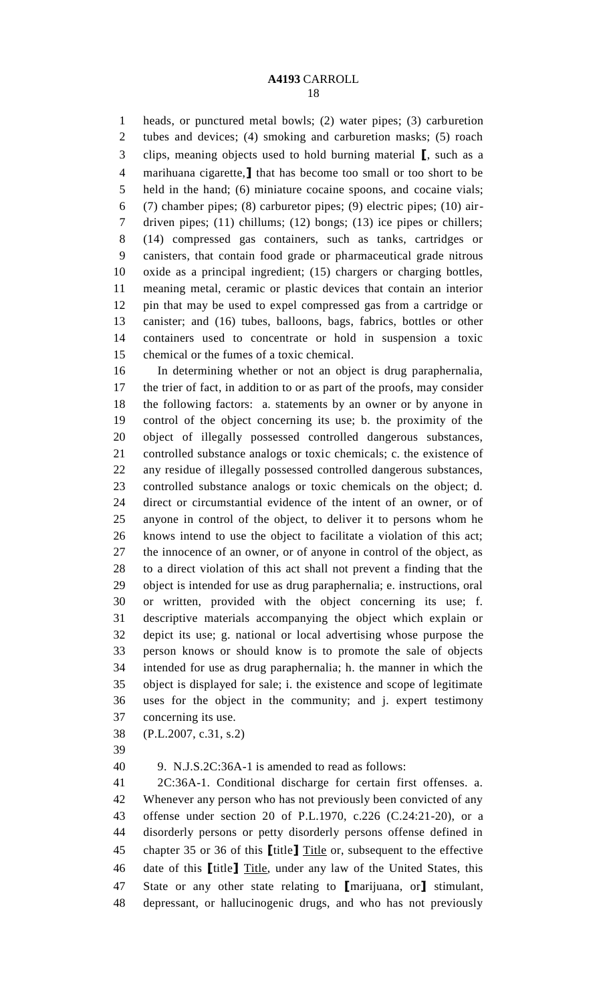heads, or punctured metal bowls; (2) water pipes; (3) carburetion tubes and devices; (4) smoking and carburetion masks; (5) roach clips, meaning objects used to hold burning material **[**, such as a marihuana cigarette,**]** that has become too small or too short to be 5 held in the hand; (6) miniature cocaine spoons, and cocaine vials; (7) chamber pipes; (8) carburetor pipes; (9) electric pipes; (10) air- driven pipes; (11) chillums; (12) bongs; (13) ice pipes or chillers; (14) compressed gas containers, such as tanks, cartridges or canisters, that contain food grade or pharmaceutical grade nitrous oxide as a principal ingredient; (15) chargers or charging bottles, meaning metal, ceramic or plastic devices that contain an interior pin that may be used to expel compressed gas from a cartridge or canister; and (16) tubes, balloons, bags, fabrics, bottles or other containers used to concentrate or hold in suspension a toxic chemical or the fumes of a toxic chemical.

 In determining whether or not an object is drug paraphernalia, the trier of fact, in addition to or as part of the proofs, may consider the following factors: a. statements by an owner or by anyone in control of the object concerning its use; b. the proximity of the object of illegally possessed controlled dangerous substances, controlled substance analogs or toxic chemicals; c. the existence of any residue of illegally possessed controlled dangerous substances, controlled substance analogs or toxic chemicals on the object; d. direct or circumstantial evidence of the intent of an owner, or of anyone in control of the object, to deliver it to persons whom he knows intend to use the object to facilitate a violation of this act; the innocence of an owner, or of anyone in control of the object, as to a direct violation of this act shall not prevent a finding that the object is intended for use as drug paraphernalia; e. instructions, oral or written, provided with the object concerning its use; f. descriptive materials accompanying the object which explain or depict its use; g. national or local advertising whose purpose the person knows or should know is to promote the sale of objects intended for use as drug paraphernalia; h. the manner in which the object is displayed for sale; i. the existence and scope of legitimate uses for the object in the community; and j. expert testimony concerning its use.

(P.L.2007, c.31, s.2)

9. N.J.S.2C:36A-1 is amended to read as follows:

 2C:36A-1. Conditional discharge for certain first offenses. a. Whenever any person who has not previously been convicted of any offense under section 20 of P.L.1970, c.226 (C.24:21-20), or a disorderly persons or petty disorderly persons offense defined in chapter 35 or 36 of this **[**title**]** Title or, subsequent to the effective date of this **[**title**]** Title, under any law of the United States, this State or any other state relating to **[**marijuana, or**]** stimulant, depressant, or hallucinogenic drugs, and who has not previously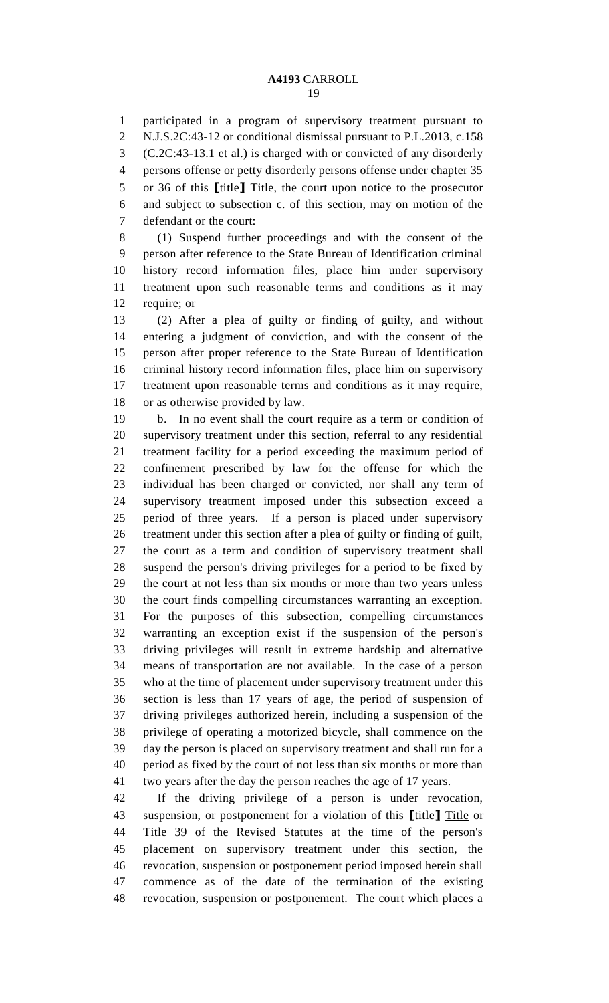participated in a program of supervisory treatment pursuant to 2 N.J.S.2C:43-12 or conditional dismissal pursuant to P.L.2013, c.158 (C.2C:43-13.1 et al.) is charged with or convicted of any disorderly persons offense or petty disorderly persons offense under chapter 35 or 36 of this **[**title**]** Title, the court upon notice to the prosecutor and subject to subsection c. of this section, may on motion of the defendant or the court:

 (1) Suspend further proceedings and with the consent of the person after reference to the State Bureau of Identification criminal history record information files, place him under supervisory treatment upon such reasonable terms and conditions as it may require; or

 (2) After a plea of guilty or finding of guilty, and without entering a judgment of conviction, and with the consent of the person after proper reference to the State Bureau of Identification criminal history record information files, place him on supervisory treatment upon reasonable terms and conditions as it may require, or as otherwise provided by law.

 b. In no event shall the court require as a term or condition of supervisory treatment under this section, referral to any residential treatment facility for a period exceeding the maximum period of confinement prescribed by law for the offense for which the individual has been charged or convicted, nor shall any term of supervisory treatment imposed under this subsection exceed a period of three years. If a person is placed under supervisory treatment under this section after a plea of guilty or finding of guilt, the court as a term and condition of supervisory treatment shall suspend the person's driving privileges for a period to be fixed by the court at not less than six months or more than two years unless the court finds compelling circumstances warranting an exception. For the purposes of this subsection, compelling circumstances warranting an exception exist if the suspension of the person's driving privileges will result in extreme hardship and alternative means of transportation are not available. In the case of a person who at the time of placement under supervisory treatment under this section is less than 17 years of age, the period of suspension of driving privileges authorized herein, including a suspension of the privilege of operating a motorized bicycle, shall commence on the day the person is placed on supervisory treatment and shall run for a period as fixed by the court of not less than six months or more than two years after the day the person reaches the age of 17 years.

 If the driving privilege of a person is under revocation, suspension, or postponement for a violation of this **[**title**]** Title or Title 39 of the Revised Statutes at the time of the person's placement on supervisory treatment under this section, the revocation, suspension or postponement period imposed herein shall commence as of the date of the termination of the existing revocation, suspension or postponement. The court which places a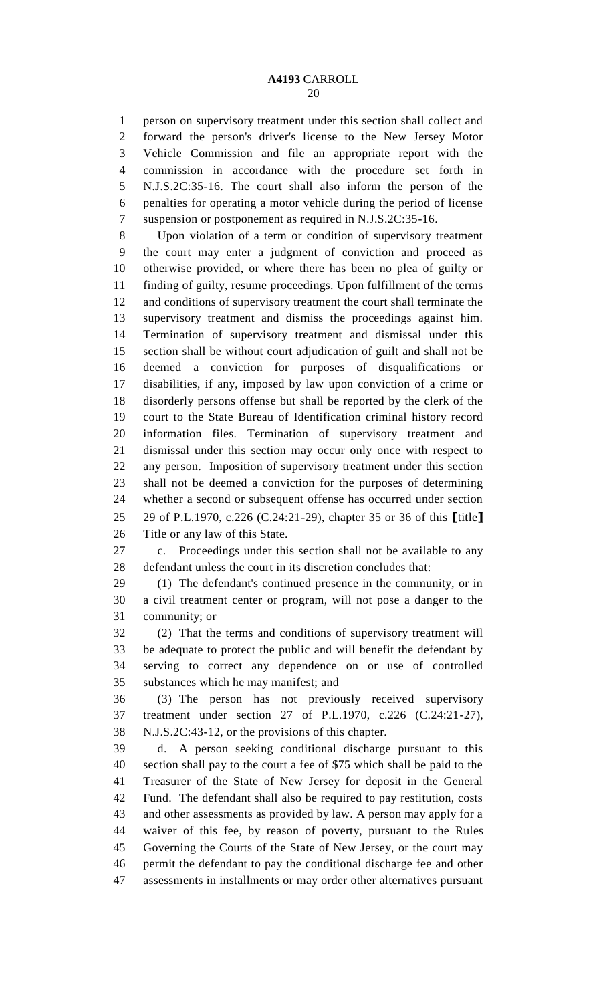person on supervisory treatment under this section shall collect and forward the person's driver's license to the New Jersey Motor Vehicle Commission and file an appropriate report with the commission in accordance with the procedure set forth in N.J.S.2C:35-16. The court shall also inform the person of the penalties for operating a motor vehicle during the period of license suspension or postponement as required in N.J.S.2C:35-16.

 Upon violation of a term or condition of supervisory treatment the court may enter a judgment of conviction and proceed as otherwise provided, or where there has been no plea of guilty or finding of guilty, resume proceedings. Upon fulfillment of the terms and conditions of supervisory treatment the court shall terminate the supervisory treatment and dismiss the proceedings against him. Termination of supervisory treatment and dismissal under this section shall be without court adjudication of guilt and shall not be deemed a conviction for purposes of disqualifications or disabilities, if any, imposed by law upon conviction of a crime or disorderly persons offense but shall be reported by the clerk of the court to the State Bureau of Identification criminal history record information files. Termination of supervisory treatment and dismissal under this section may occur only once with respect to any person. Imposition of supervisory treatment under this section shall not be deemed a conviction for the purposes of determining whether a second or subsequent offense has occurred under section 29 of P.L.1970, c.226 (C.24:21-29), chapter 35 or 36 of this **[**title**]** 26 Title or any law of this State.

 c. Proceedings under this section shall not be available to any defendant unless the court in its discretion concludes that:

 (1) The defendant's continued presence in the community, or in a civil treatment center or program, will not pose a danger to the community; or

 (2) That the terms and conditions of supervisory treatment will be adequate to protect the public and will benefit the defendant by serving to correct any dependence on or use of controlled substances which he may manifest; and

 (3) The person has not previously received supervisory treatment under section 27 of P.L.1970, c.226 (C.24:21-27), N.J.S.2C:43-12, or the provisions of this chapter.

 d. A person seeking conditional discharge pursuant to this section shall pay to the court a fee of \$75 which shall be paid to the Treasurer of the State of New Jersey for deposit in the General Fund. The defendant shall also be required to pay restitution, costs and other assessments as provided by law. A person may apply for a waiver of this fee, by reason of poverty, pursuant to the Rules Governing the Courts of the State of New Jersey, or the court may permit the defendant to pay the conditional discharge fee and other assessments in installments or may order other alternatives pursuant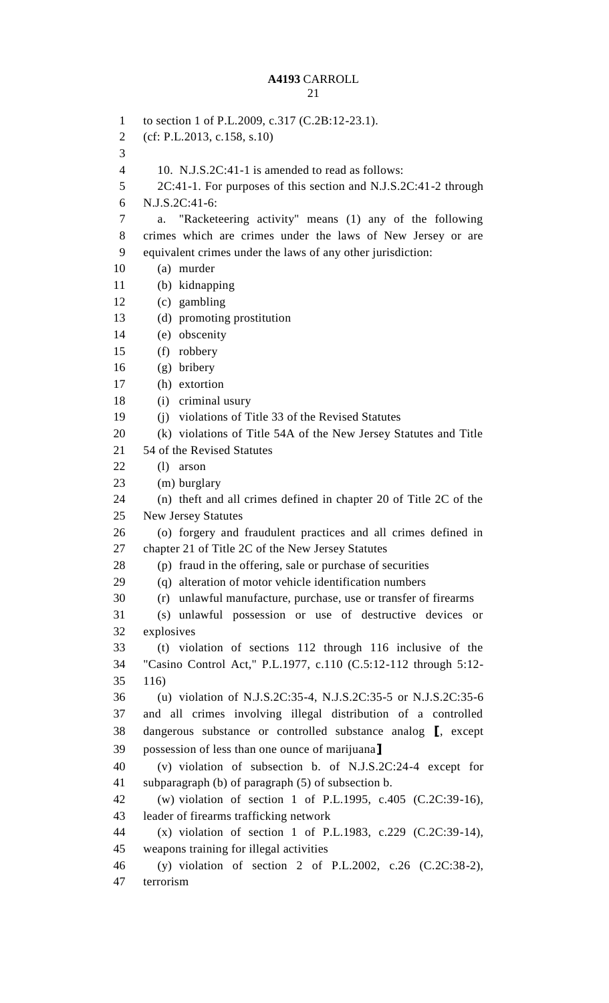| $\mathbf{1}$   | to section 1 of P.L.2009, c.317 (C.2B:12-23.1).                                                                             |
|----------------|-----------------------------------------------------------------------------------------------------------------------------|
| $\overline{2}$ | (cf: P.L.2013, c.158, s.10)                                                                                                 |
| 3              |                                                                                                                             |
| $\overline{4}$ | 10. N.J.S.2C:41-1 is amended to read as follows:                                                                            |
| 5              | 2C:41-1. For purposes of this section and N.J.S.2C:41-2 through                                                             |
| 6<br>7         | N.J.S.2C:41-6:                                                                                                              |
| 8              | "Racketeering activity" means (1) any of the following<br>a.<br>crimes which are crimes under the laws of New Jersey or are |
| 9              | equivalent crimes under the laws of any other jurisdiction:                                                                 |
| 10             | (a) murder                                                                                                                  |
| 11             | (b) kidnapping                                                                                                              |
| 12             | $(c)$ gambling                                                                                                              |
| 13             | (d) promoting prostitution                                                                                                  |
| 14             | (e) obscenity                                                                                                               |
| 15             | (f) robbery                                                                                                                 |
| 16             | $(g)$ bribery                                                                                                               |
| 17             | (h) extortion                                                                                                               |
| 18             | (i) criminal usury                                                                                                          |
| 19             | (i) violations of Title 33 of the Revised Statutes                                                                          |
| 20<br>21       | (k) violations of Title 54A of the New Jersey Statutes and Title<br>54 of the Revised Statutes                              |
| 22             | (1)<br>arson                                                                                                                |
| 23             | (m) burglary                                                                                                                |
| 24             | (n) theft and all crimes defined in chapter 20 of Title 2C of the                                                           |
| 25             | <b>New Jersey Statutes</b>                                                                                                  |
| 26             | (o) forgery and fraudulent practices and all crimes defined in                                                              |
| 27             | chapter 21 of Title 2C of the New Jersey Statutes                                                                           |
| 28             | (p) fraud in the offering, sale or purchase of securities                                                                   |
| 29             | (q) alteration of motor vehicle identification numbers                                                                      |
| 30             | (r) unlawful manufacture, purchase, use or transfer of firearms                                                             |
| 31             | (s) unlawful possession or use of destructive devices or                                                                    |
| 32             | explosives                                                                                                                  |
| 33<br>34       | $(t)$ violation of sections 112 through 116 inclusive of the                                                                |
| 35             | "Casino Control Act," P.L.1977, c.110 (C.5:12-112 through 5:12-<br>116)                                                     |
| 36             | (u) violation of N.J.S.2C:35-4, N.J.S.2C:35-5 or N.J.S.2C:35-6                                                              |
| 37             | and all crimes involving illegal distribution of a controlled                                                               |
| 38             | dangerous substance or controlled substance analog $\mathbf{I}$ , except                                                    |
| 39             | possession of less than one ounce of marijuana]                                                                             |
| 40             | (v) violation of subsection b. of N.J.S.2C:24-4 except for                                                                  |
| 41             | subparagraph (b) of paragraph (5) of subsection b.                                                                          |
| 42             | (w) violation of section 1 of P.L.1995, c.405 (C.2C:39-16),                                                                 |
| 43             | leader of firearms trafficking network                                                                                      |
| 44             | (x) violation of section 1 of P.L.1983, c.229 (C.2C:39-14),                                                                 |
| 45             | weapons training for illegal activities                                                                                     |
| 46             | (y) violation of section 2 of P.L.2002, c.26 (C.2C:38-2),                                                                   |
| 47             | terrorism                                                                                                                   |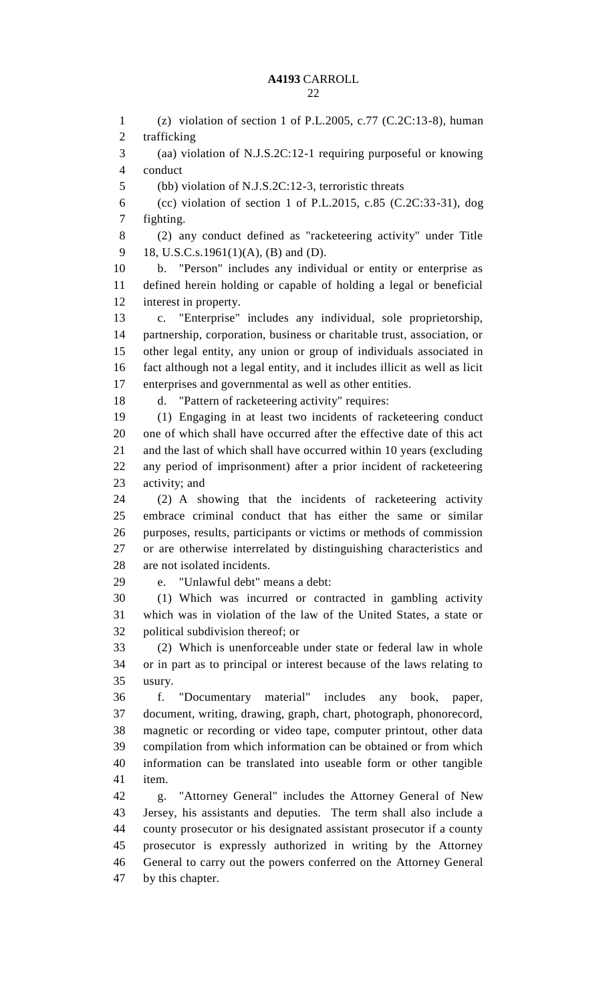(z) violation of section 1 of P.L.2005, c.77 (C.2C:13-8), human

| $\overline{2}$ | trafficking                                                                |
|----------------|----------------------------------------------------------------------------|
| 3              | (aa) violation of N.J.S.2C:12-1 requiring purposeful or knowing            |
| $\overline{4}$ | conduct                                                                    |
| 5              | (bb) violation of N.J.S.2C:12-3, terroristic threats                       |
| 6              | (cc) violation of section 1 of P.L.2015, c.85 (C.2C:33-31), dog            |
| $\tau$         | fighting.                                                                  |
| 8              | (2) any conduct defined as "racketeering activity" under Title             |
| 9              | 18, U.S.C.s.1961(1)(A), (B) and (D).                                       |
| 10             | b. "Person" includes any individual or entity or enterprise as             |
| 11             | defined herein holding or capable of holding a legal or beneficial         |
| 12             | interest in property.                                                      |
| 13             | c. "Enterprise" includes any individual, sole proprietorship,              |
| 14             | partnership, corporation, business or charitable trust, association, or    |
| 15             | other legal entity, any union or group of individuals associated in        |
| 16             | fact although not a legal entity, and it includes illicit as well as licit |
| 17             | enterprises and governmental as well as other entities.                    |
| 18             | d. "Pattern of racketeering activity" requires:                            |
| 19             | (1) Engaging in at least two incidents of racketeering conduct             |
| 20             | one of which shall have occurred after the effective date of this act      |
| 21             | and the last of which shall have occurred within 10 years (excluding       |
| 22             | any period of imprisonment) after a prior incident of racketeering         |
| 23             | activity; and                                                              |
| 24             | (2) A showing that the incidents of racketeering activity                  |
| 25             | embrace criminal conduct that has either the same or similar               |
| 26             | purposes, results, participants or victims or methods of commission        |
| 27             | or are otherwise interrelated by distinguishing characteristics and        |
| 28             | are not isolated incidents.                                                |
| 29             | "Unlawful debt" means a debt:<br>e.                                        |
| 30             | (1) Which was incurred or contracted in gambling activity                  |
| 31             | which was in violation of the law of the United States, a state or         |
| 32             | political subdivision thereof; or                                          |
| 33             | (2) Which is unenforceable under state or federal law in whole             |
| 34             | or in part as to principal or interest because of the laws relating to     |
|                |                                                                            |

usury.

 f. "Documentary material" includes any book, paper, document, writing, drawing, graph, chart, photograph, phonorecord, magnetic or recording or video tape, computer printout, other data compilation from which information can be obtained or from which information can be translated into useable form or other tangible item.

 g. "Attorney General" includes the Attorney General of New Jersey, his assistants and deputies. The term shall also include a county prosecutor or his designated assistant prosecutor if a county prosecutor is expressly authorized in writing by the Attorney General to carry out the powers conferred on the Attorney General by this chapter.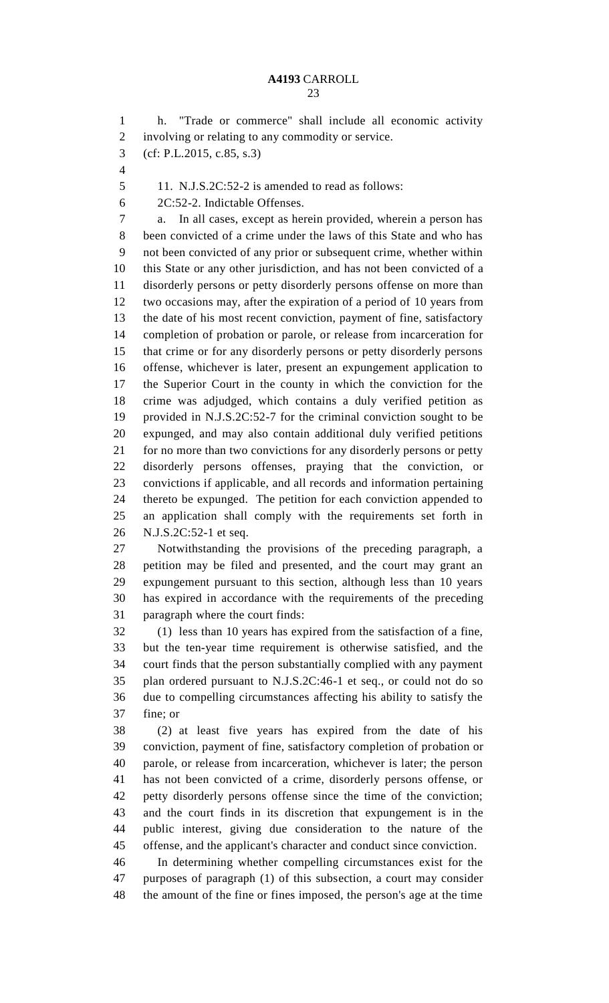h. "Trade or commerce" shall include all economic activity involving or relating to any commodity or service. (cf: P.L.2015, c.85, s.3) 11. N.J.S.2C:52-2 is amended to read as follows: 2C:52-2. Indictable Offenses. a. In all cases, except as herein provided, wherein a person has been convicted of a crime under the laws of this State and who has not been convicted of any prior or subsequent crime, whether within this State or any other jurisdiction, and has not been convicted of a disorderly persons or petty disorderly persons offense on more than two occasions may, after the expiration of a period of 10 years from the date of his most recent conviction, payment of fine, satisfactory completion of probation or parole, or release from incarceration for that crime or for any disorderly persons or petty disorderly persons offense, whichever is later, present an expungement application to the Superior Court in the county in which the conviction for the crime was adjudged, which contains a duly verified petition as provided in N.J.S.2C:52-7 for the criminal conviction sought to be expunged, and may also contain additional duly verified petitions for no more than two convictions for any disorderly persons or petty disorderly persons offenses, praying that the conviction, or convictions if applicable, and all records and information pertaining thereto be expunged. The petition for each conviction appended to an application shall comply with the requirements set forth in N.J.S.2C:52-1 et seq. Notwithstanding the provisions of the preceding paragraph, a petition may be filed and presented, and the court may grant an expungement pursuant to this section, although less than 10 years has expired in accordance with the requirements of the preceding

paragraph where the court finds:

 (1) less than 10 years has expired from the satisfaction of a fine, but the ten-year time requirement is otherwise satisfied, and the court finds that the person substantially complied with any payment plan ordered pursuant to N.J.S.2C:46-1 et seq., or could not do so due to compelling circumstances affecting his ability to satisfy the fine; or

 (2) at least five years has expired from the date of his conviction, payment of fine, satisfactory completion of probation or parole, or release from incarceration, whichever is later; the person has not been convicted of a crime, disorderly persons offense, or petty disorderly persons offense since the time of the conviction; and the court finds in its discretion that expungement is in the public interest, giving due consideration to the nature of the offense, and the applicant's character and conduct since conviction.

 In determining whether compelling circumstances exist for the purposes of paragraph (1) of this subsection, a court may consider the amount of the fine or fines imposed, the person's age at the time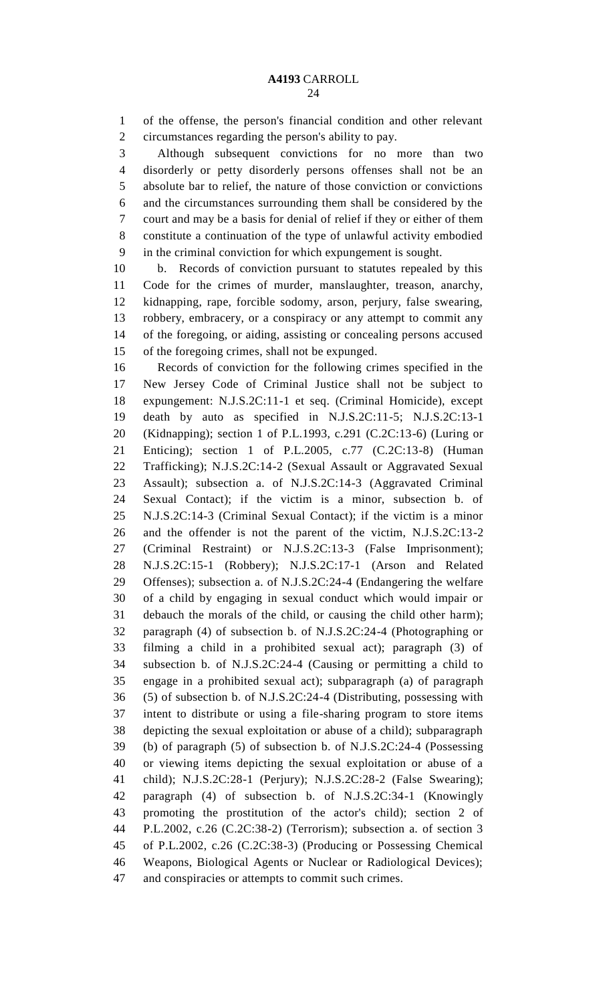of the offense, the person's financial condition and other relevant circumstances regarding the person's ability to pay.

 Although subsequent convictions for no more than two disorderly or petty disorderly persons offenses shall not be an absolute bar to relief, the nature of those conviction or convictions and the circumstances surrounding them shall be considered by the court and may be a basis for denial of relief if they or either of them constitute a continuation of the type of unlawful activity embodied in the criminal conviction for which expungement is sought.

 b. Records of conviction pursuant to statutes repealed by this Code for the crimes of murder, manslaughter, treason, anarchy, kidnapping, rape, forcible sodomy, arson, perjury, false swearing, robbery, embracery, or a conspiracy or any attempt to commit any of the foregoing, or aiding, assisting or concealing persons accused of the foregoing crimes, shall not be expunged.

 Records of conviction for the following crimes specified in the New Jersey Code of Criminal Justice shall not be subject to expungement: N.J.S.2C:11-1 et seq. (Criminal Homicide), except death by auto as specified in N.J.S.2C:11-5; N.J.S.2C:13-1 (Kidnapping); section 1 of P.L.1993, c.291 (C.2C:13-6) (Luring or Enticing); section 1 of P.L.2005, c.77 (C.2C:13-8) (Human Trafficking); N.J.S.2C:14-2 (Sexual Assault or Aggravated Sexual Assault); subsection a. of N.J.S.2C:14-3 (Aggravated Criminal Sexual Contact); if the victim is a minor, subsection b. of N.J.S.2C:14-3 (Criminal Sexual Contact); if the victim is a minor and the offender is not the parent of the victim, N.J.S.2C:13-2 (Criminal Restraint) or N.J.S.2C:13-3 (False Imprisonment); N.J.S.2C:15-1 (Robbery); N.J.S.2C:17-1 (Arson and Related Offenses); subsection a. of N.J.S.2C:24-4 (Endangering the welfare of a child by engaging in sexual conduct which would impair or debauch the morals of the child, or causing the child other harm); paragraph (4) of subsection b. of N.J.S.2C:24-4 (Photographing or filming a child in a prohibited sexual act); paragraph (3) of subsection b. of N.J.S.2C:24-4 (Causing or permitting a child to engage in a prohibited sexual act); subparagraph (a) of paragraph (5) of subsection b. of N.J.S.2C:24-4 (Distributing, possessing with intent to distribute or using a file-sharing program to store items depicting the sexual exploitation or abuse of a child); subparagraph (b) of paragraph (5) of subsection b. of N.J.S.2C:24-4 (Possessing or viewing items depicting the sexual exploitation or abuse of a child); N.J.S.2C:28-1 (Perjury); N.J.S.2C:28-2 (False Swearing); paragraph (4) of subsection b. of N.J.S.2C:34-1 (Knowingly promoting the prostitution of the actor's child); section 2 of P.L.2002, c.26 (C.2C:38-2) (Terrorism); subsection a. of section 3 of P.L.2002, c.26 (C.2C:38-3) (Producing or Possessing Chemical Weapons, Biological Agents or Nuclear or Radiological Devices); and conspiracies or attempts to commit such crimes.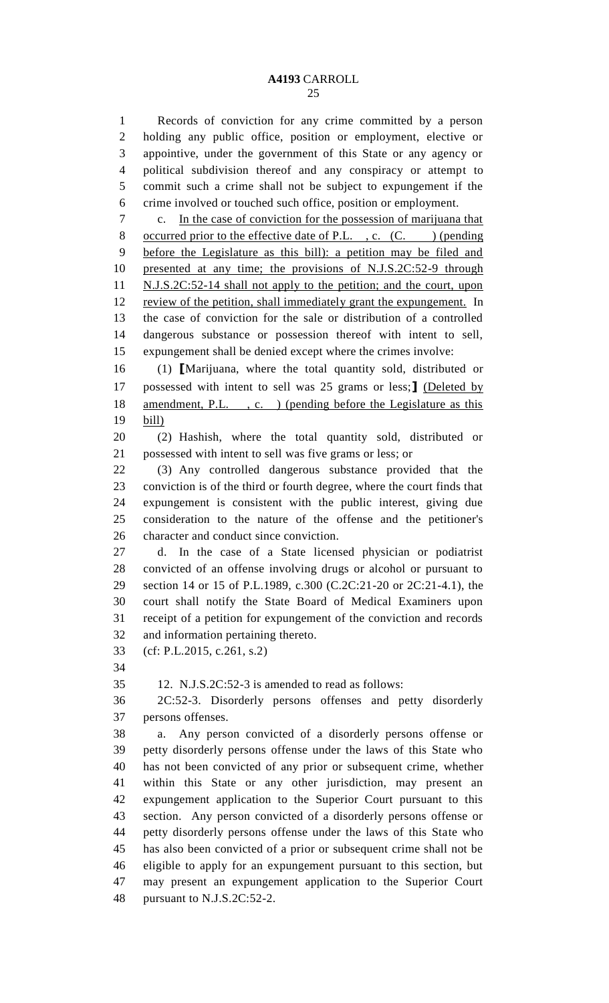Records of conviction for any crime committed by a person holding any public office, position or employment, elective or appointive, under the government of this State or any agency or political subdivision thereof and any conspiracy or attempt to commit such a crime shall not be subject to expungement if the crime involved or touched such office, position or employment.

 c. In the case of conviction for the possession of marijuana that 8 occurred prior to the effective date of P.L., c.  $(C.$  ) (pending before the Legislature as this bill): a petition may be filed and presented at any time; the provisions of N.J.S.2C:52-9 through 11 N.J.S.2C:52-14 shall not apply to the petition; and the court, upon 12 review of the petition, shall immediately grant the expungement. In the case of conviction for the sale or distribution of a controlled dangerous substance or possession thereof with intent to sell, expungement shall be denied except where the crimes involve:

 (1) **[**Marijuana, where the total quantity sold, distributed or possessed with intent to sell was 25 grams or less;**]** (Deleted by 18 amendment, P.L., c. (pending before the Legislature as this bill)

 (2) Hashish, where the total quantity sold, distributed or possessed with intent to sell was five grams or less; or

 (3) Any controlled dangerous substance provided that the conviction is of the third or fourth degree, where the court finds that expungement is consistent with the public interest, giving due consideration to the nature of the offense and the petitioner's character and conduct since conviction.

 d. In the case of a State licensed physician or podiatrist convicted of an offense involving drugs or alcohol or pursuant to section 14 or 15 of P.L.1989, c.300 (C.2C:21-20 or 2C:21-4.1), the court shall notify the State Board of Medical Examiners upon receipt of a petition for expungement of the conviction and records and information pertaining thereto.

- (cf: P.L.2015, c.261, s.2)
- 

12. N.J.S.2C:52-3 is amended to read as follows:

 2C:52-3. Disorderly persons offenses and petty disorderly persons offenses.

 a. Any person convicted of a disorderly persons offense or petty disorderly persons offense under the laws of this State who has not been convicted of any prior or subsequent crime, whether within this State or any other jurisdiction, may present an expungement application to the Superior Court pursuant to this section. Any person convicted of a disorderly persons offense or petty disorderly persons offense under the laws of this State who has also been convicted of a prior or subsequent crime shall not be eligible to apply for an expungement pursuant to this section, but may present an expungement application to the Superior Court pursuant to N.J.S.2C:52-2.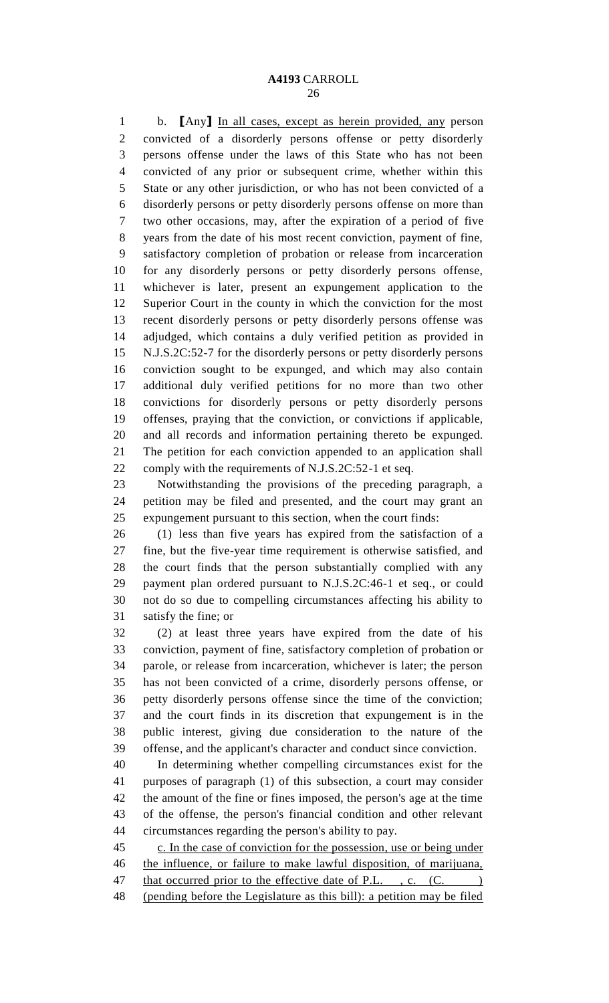b. **[**Any**]** In all cases, except as herein provided, any person convicted of a disorderly persons offense or petty disorderly persons offense under the laws of this State who has not been convicted of any prior or subsequent crime, whether within this State or any other jurisdiction, or who has not been convicted of a disorderly persons or petty disorderly persons offense on more than two other occasions, may, after the expiration of a period of five years from the date of his most recent conviction, payment of fine, satisfactory completion of probation or release from incarceration for any disorderly persons or petty disorderly persons offense, whichever is later, present an expungement application to the Superior Court in the county in which the conviction for the most recent disorderly persons or petty disorderly persons offense was adjudged, which contains a duly verified petition as provided in N.J.S.2C:52-7 for the disorderly persons or petty disorderly persons conviction sought to be expunged, and which may also contain additional duly verified petitions for no more than two other convictions for disorderly persons or petty disorderly persons offenses, praying that the conviction, or convictions if applicable, and all records and information pertaining thereto be expunged. The petition for each conviction appended to an application shall comply with the requirements of N.J.S.2C:52-1 et seq.

 Notwithstanding the provisions of the preceding paragraph, a petition may be filed and presented, and the court may grant an expungement pursuant to this section, when the court finds:

 (1) less than five years has expired from the satisfaction of a fine, but the five-year time requirement is otherwise satisfied, and the court finds that the person substantially complied with any payment plan ordered pursuant to N.J.S.2C:46-1 et seq., or could not do so due to compelling circumstances affecting his ability to satisfy the fine; or

 (2) at least three years have expired from the date of his conviction, payment of fine, satisfactory completion of probation or parole, or release from incarceration, whichever is later; the person has not been convicted of a crime, disorderly persons offense, or petty disorderly persons offense since the time of the conviction; and the court finds in its discretion that expungement is in the public interest, giving due consideration to the nature of the offense, and the applicant's character and conduct since conviction.

 In determining whether compelling circumstances exist for the purposes of paragraph (1) of this subsection, a court may consider the amount of the fine or fines imposed, the person's age at the time of the offense, the person's financial condition and other relevant circumstances regarding the person's ability to pay.

 c. In the case of conviction for the possession, use or being under the influence, or failure to make lawful disposition, of marijuana, 47 that occurred prior to the effective date of P.L., c. (C. (pending before the Legislature as this bill): a petition may be filed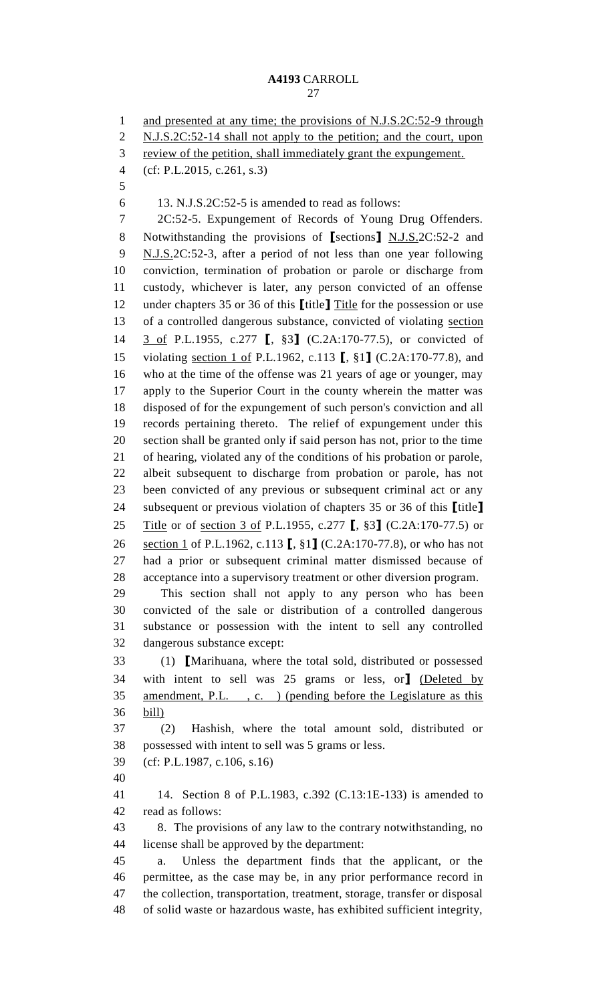1 and presented at any time; the provisions of N.J.S.2C:52-9 through 2 N.J.S.2C:52-14 shall not apply to the petition; and the court, upon review of the petition, shall immediately grant the expungement. (cf: P.L.2015, c.261, s.3) 13. N.J.S.2C:52-5 is amended to read as follows: 2C:52-5. Expungement of Records of Young Drug Offenders. Notwithstanding the provisions of **[**sections**]** N.J.S.2C:52-2 and N.J.S.2C:52-3, after a period of not less than one year following conviction, termination of probation or parole or discharge from custody, whichever is later, any person convicted of an offense under chapters 35 or 36 of this **[**title**]** Title for the possession or use of a controlled dangerous substance, convicted of violating section 3 of P.L.1955, c.277 **[**, §3**]** (C.2A:170-77.5), or convicted of violating section 1 of P.L.1962, c.113 **[**, §1**]** (C.2A:170-77.8), and who at the time of the offense was 21 years of age or younger, may apply to the Superior Court in the county wherein the matter was disposed of for the expungement of such person's conviction and all records pertaining thereto. The relief of expungement under this section shall be granted only if said person has not, prior to the time of hearing, violated any of the conditions of his probation or parole, albeit subsequent to discharge from probation or parole, has not been convicted of any previous or subsequent criminal act or any subsequent or previous violation of chapters 35 or 36 of this **[**title**]** Title or of section 3 of P.L.1955, c.277 **[**, §3**]** (C.2A:170-77.5) or section 1 of P.L.1962, c.113 **[**, §1**]** (C.2A:170-77.8), or who has not had a prior or subsequent criminal matter dismissed because of acceptance into a supervisory treatment or other diversion program. This section shall not apply to any person who has been convicted of the sale or distribution of a controlled dangerous substance or possession with the intent to sell any controlled dangerous substance except: (1) **[**Marihuana, where the total sold, distributed or possessed with intent to sell was 25 grams or less, or**]** (Deleted by amendment, P.L. , c. ) (pending before the Legislature as this bill) (2) Hashish, where the total amount sold, distributed or possessed with intent to sell was 5 grams or less. (cf: P.L.1987, c.106, s.16) 14. Section 8 of P.L.1983, c.392 (C.13:1E-133) is amended to read as follows: 8. The provisions of any law to the contrary notwithstanding, no license shall be approved by the department: a. Unless the department finds that the applicant, or the permittee, as the case may be, in any prior performance record in the collection, transportation, treatment, storage, transfer or disposal of solid waste or hazardous waste, has exhibited sufficient integrity,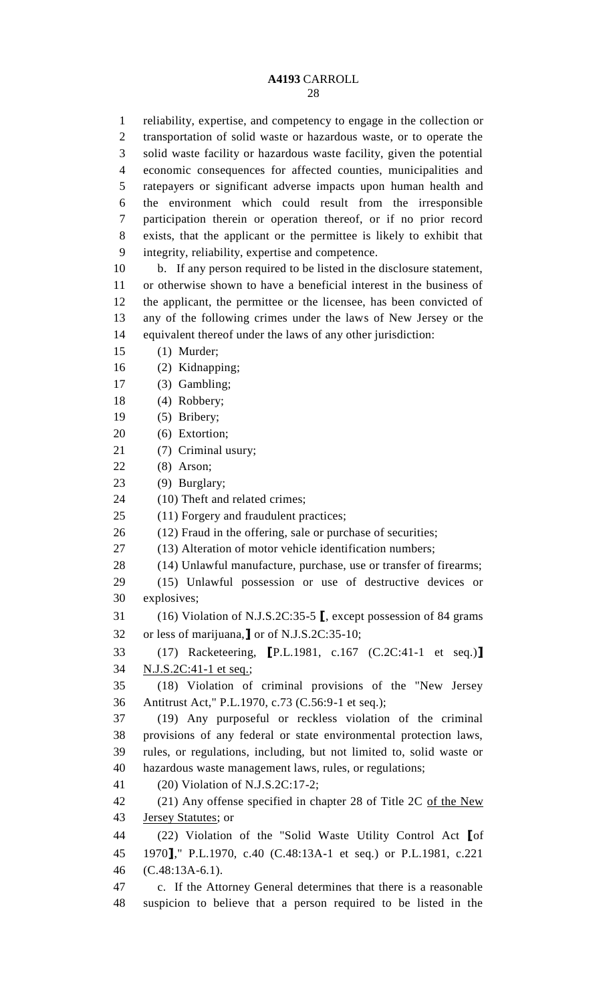reliability, expertise, and competency to engage in the collection or transportation of solid waste or hazardous waste, or to operate the solid waste facility or hazardous waste facility, given the potential economic consequences for affected counties, municipalities and ratepayers or significant adverse impacts upon human health and the environment which could result from the irresponsible participation therein or operation thereof, or if no prior record exists, that the applicant or the permittee is likely to exhibit that integrity, reliability, expertise and competence. b. If any person required to be listed in the disclosure statement, or otherwise shown to have a beneficial interest in the business of the applicant, the permittee or the licensee, has been convicted of any of the following crimes under the laws of New Jersey or the equivalent thereof under the laws of any other jurisdiction: (1) Murder; (2) Kidnapping; (3) Gambling; (4) Robbery; (5) Bribery; (6) Extortion; (7) Criminal usury; (8) Arson; (9) Burglary; (10) Theft and related crimes; 25 (11) Forgery and fraudulent practices; (12) Fraud in the offering, sale or purchase of securities; (13) Alteration of motor vehicle identification numbers; (14) Unlawful manufacture, purchase, use or transfer of firearms; (15) Unlawful possession or use of destructive devices or explosives; (16) Violation of N.J.S.2C:35-5 **[**, except possession of 84 grams or less of marijuana,**]** or of N.J.S.2C:35-10; (17) Racketeering, **[**P.L.1981, c.167 (C.2C:41-1 et seq.)**]** N.J.S.2C:41-1 et seq.; (18) Violation of criminal provisions of the "New Jersey Antitrust Act," P.L.1970, c.73 (C.56:9-1 et seq.);

 (19) Any purposeful or reckless violation of the criminal provisions of any federal or state environmental protection laws, rules, or regulations, including, but not limited to, solid waste or hazardous waste management laws, rules, or regulations;

(20) Violation of N.J.S.2C:17-2;

42 (21) Any offense specified in chapter 28 of Title 2C of the New Jersey Statutes; or

 (22) Violation of the "Solid Waste Utility Control Act **[**of 1970**]**," P.L.1970, c.40 (C.48:13A-1 et seq.) or P.L.1981, c.221 (C.48:13A-6.1). c. If the Attorney General determines that there is a reasonable

suspicion to believe that a person required to be listed in the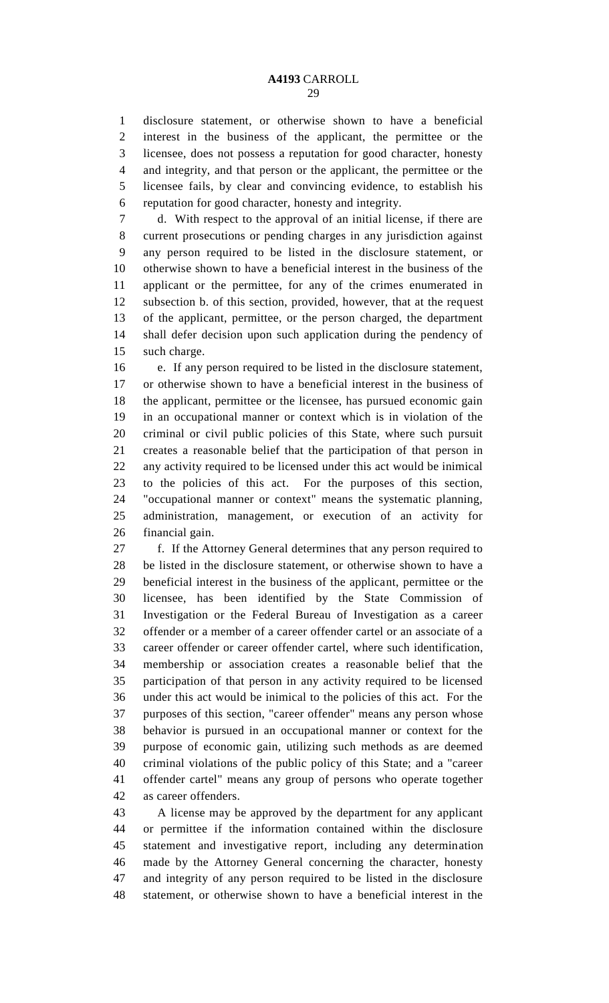disclosure statement, or otherwise shown to have a beneficial interest in the business of the applicant, the permittee or the licensee, does not possess a reputation for good character, honesty and integrity, and that person or the applicant, the permittee or the licensee fails, by clear and convincing evidence, to establish his reputation for good character, honesty and integrity.

 d. With respect to the approval of an initial license, if there are current prosecutions or pending charges in any jurisdiction against any person required to be listed in the disclosure statement, or otherwise shown to have a beneficial interest in the business of the applicant or the permittee, for any of the crimes enumerated in subsection b. of this section, provided, however, that at the request of the applicant, permittee, or the person charged, the department shall defer decision upon such application during the pendency of such charge.

 e. If any person required to be listed in the disclosure statement, or otherwise shown to have a beneficial interest in the business of the applicant, permittee or the licensee, has pursued economic gain in an occupational manner or context which is in violation of the criminal or civil public policies of this State, where such pursuit creates a reasonable belief that the participation of that person in any activity required to be licensed under this act would be inimical to the policies of this act. For the purposes of this section, "occupational manner or context" means the systematic planning, administration, management, or execution of an activity for financial gain.

 f. If the Attorney General determines that any person required to be listed in the disclosure statement, or otherwise shown to have a beneficial interest in the business of the applicant, permittee or the licensee, has been identified by the State Commission of Investigation or the Federal Bureau of Investigation as a career offender or a member of a career offender cartel or an associate of a career offender or career offender cartel, where such identification, membership or association creates a reasonable belief that the participation of that person in any activity required to be licensed under this act would be inimical to the policies of this act. For the purposes of this section, "career offender" means any person whose behavior is pursued in an occupational manner or context for the purpose of economic gain, utilizing such methods as are deemed criminal violations of the public policy of this State; and a "career offender cartel" means any group of persons who operate together as career offenders.

 A license may be approved by the department for any applicant or permittee if the information contained within the disclosure statement and investigative report, including any determination made by the Attorney General concerning the character, honesty and integrity of any person required to be listed in the disclosure statement, or otherwise shown to have a beneficial interest in the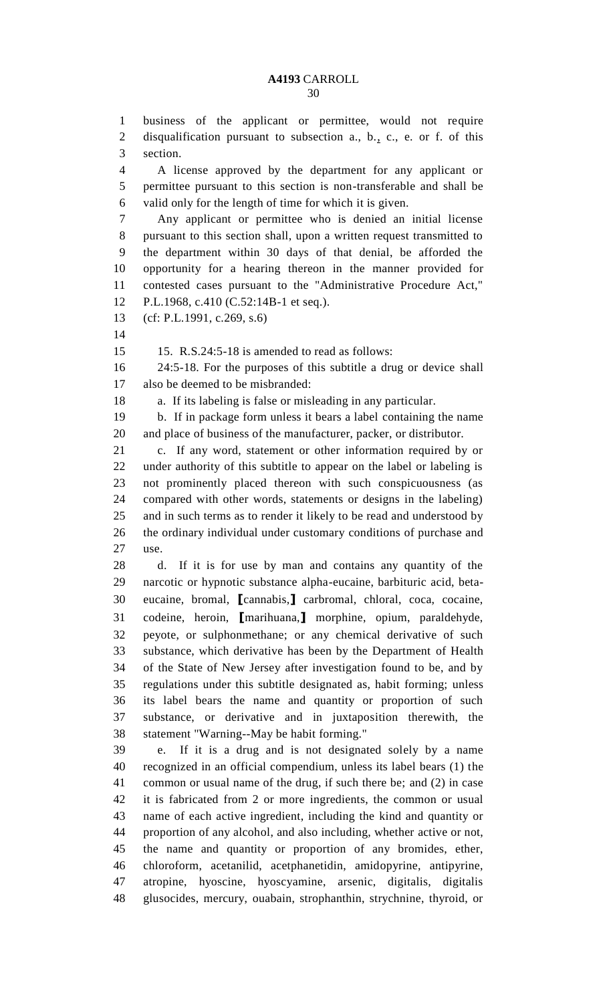business of the applicant or permittee, would not require disqualification pursuant to subsection a., b., c., e. or f. of this section.

 A license approved by the department for any applicant or permittee pursuant to this section is non-transferable and shall be valid only for the length of time for which it is given.

 Any applicant or permittee who is denied an initial license pursuant to this section shall, upon a written request transmitted to the department within 30 days of that denial, be afforded the opportunity for a hearing thereon in the manner provided for contested cases pursuant to the "Administrative Procedure Act," P.L.1968, c.410 (C.52:14B-1 et seq.).

(cf: P.L.1991, c.269, s.6)

15. R.S.24:5-18 is amended to read as follows:

 24:5-18. For the purposes of this subtitle a drug or device shall also be deemed to be misbranded:

a. If its labeling is false or misleading in any particular.

 b. If in package form unless it bears a label containing the name and place of business of the manufacturer, packer, or distributor.

 c. If any word, statement or other information required by or under authority of this subtitle to appear on the label or labeling is not prominently placed thereon with such conspicuousness (as compared with other words, statements or designs in the labeling) and in such terms as to render it likely to be read and understood by the ordinary individual under customary conditions of purchase and use.

 d. If it is for use by man and contains any quantity of the narcotic or hypnotic substance alpha-eucaine, barbituric acid, beta- eucaine, bromal, **[**cannabis,**]** carbromal, chloral, coca, cocaine, codeine, heroin, **[**marihuana,**]** morphine, opium, paraldehyde, peyote, or sulphonmethane; or any chemical derivative of such substance, which derivative has been by the Department of Health of the State of New Jersey after investigation found to be, and by regulations under this subtitle designated as, habit forming; unless its label bears the name and quantity or proportion of such substance, or derivative and in juxtaposition therewith, the statement "Warning--May be habit forming."

 e. If it is a drug and is not designated solely by a name recognized in an official compendium, unless its label bears (1) the common or usual name of the drug, if such there be; and (2) in case it is fabricated from 2 or more ingredients, the common or usual name of each active ingredient, including the kind and quantity or proportion of any alcohol, and also including, whether active or not, the name and quantity or proportion of any bromides, ether, chloroform, acetanilid, acetphanetidin, amidopyrine, antipyrine, atropine, hyoscine, hyoscyamine, arsenic, digitalis, digitalis glusocides, mercury, ouabain, strophanthin, strychnine, thyroid, or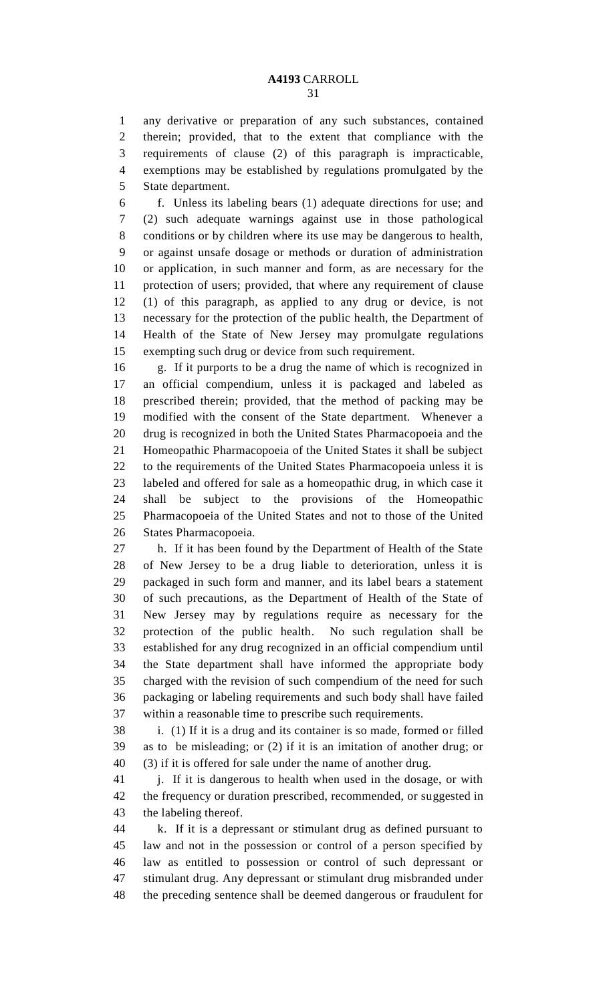any derivative or preparation of any such substances, contained therein; provided, that to the extent that compliance with the requirements of clause (2) of this paragraph is impracticable, exemptions may be established by regulations promulgated by the State department.

 f. Unless its labeling bears (1) adequate directions for use; and (2) such adequate warnings against use in those pathological conditions or by children where its use may be dangerous to health, or against unsafe dosage or methods or duration of administration or application, in such manner and form, as are necessary for the protection of users; provided, that where any requirement of clause (1) of this paragraph, as applied to any drug or device, is not necessary for the protection of the public health, the Department of Health of the State of New Jersey may promulgate regulations exempting such drug or device from such requirement.

 g. If it purports to be a drug the name of which is recognized in an official compendium, unless it is packaged and labeled as prescribed therein; provided, that the method of packing may be modified with the consent of the State department. Whenever a drug is recognized in both the United States Pharmacopoeia and the Homeopathic Pharmacopoeia of the United States it shall be subject to the requirements of the United States Pharmacopoeia unless it is labeled and offered for sale as a homeopathic drug, in which case it shall be subject to the provisions of the Homeopathic Pharmacopoeia of the United States and not to those of the United States Pharmacopoeia.

 h. If it has been found by the Department of Health of the State of New Jersey to be a drug liable to deterioration, unless it is packaged in such form and manner, and its label bears a statement of such precautions, as the Department of Health of the State of New Jersey may by regulations require as necessary for the protection of the public health. No such regulation shall be established for any drug recognized in an official compendium until the State department shall have informed the appropriate body charged with the revision of such compendium of the need for such packaging or labeling requirements and such body shall have failed within a reasonable time to prescribe such requirements.

 i. (1) If it is a drug and its container is so made, formed or filled as to be misleading; or (2) if it is an imitation of another drug; or (3) if it is offered for sale under the name of another drug.

 j. If it is dangerous to health when used in the dosage, or with the frequency or duration prescribed, recommended, or suggested in the labeling thereof.

 k. If it is a depressant or stimulant drug as defined pursuant to law and not in the possession or control of a person specified by law as entitled to possession or control of such depressant or stimulant drug. Any depressant or stimulant drug misbranded under the preceding sentence shall be deemed dangerous or fraudulent for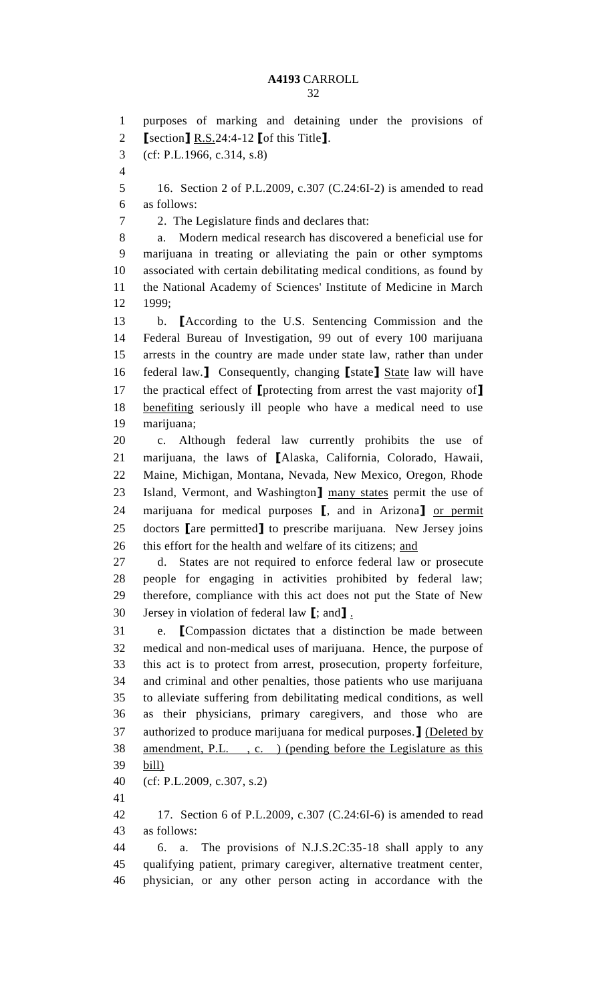purposes of marking and detaining under the provisions of **[**section**]** R.S.24:4-12 **[**of this Title**]**. (cf: P.L.1966, c.314, s.8) 16. Section 2 of P.L.2009, c.307 (C.24:6I-2) is amended to read as follows: 2. The Legislature finds and declares that: a. Modern medical research has discovered a beneficial use for marijuana in treating or alleviating the pain or other symptoms associated with certain debilitating medical conditions, as found by the National Academy of Sciences' Institute of Medicine in March 1999; b. **[**According to the U.S. Sentencing Commission and the Federal Bureau of Investigation, 99 out of every 100 marijuana arrests in the country are made under state law, rather than under federal law.**]** Consequently, changing **[**state**]** State law will have the practical effect of **[**protecting from arrest the vast majority of**]** benefiting seriously ill people who have a medical need to use marijuana; c. Although federal law currently prohibits the use of marijuana, the laws of **[**Alaska, California, Colorado, Hawaii, Maine, Michigan, Montana, Nevada, New Mexico, Oregon, Rhode Island, Vermont, and Washington**]** many states permit the use of marijuana for medical purposes **[**, and in Arizona**]** or permit doctors **[**are permitted**]** to prescribe marijuana. New Jersey joins 26 this effort for the health and welfare of its citizens; and d. States are not required to enforce federal law or prosecute people for engaging in activities prohibited by federal law; therefore, compliance with this act does not put the State of New Jersey in violation of federal law **[**; and**]** . e. **[**Compassion dictates that a distinction be made between medical and non-medical uses of marijuana. Hence, the purpose of this act is to protect from arrest, prosecution, property forfeiture, and criminal and other penalties, those patients who use marijuana to alleviate suffering from debilitating medical conditions, as well as their physicians, primary caregivers, and those who are authorized to produce marijuana for medical purposes.**]** (Deleted by amendment, P.L. , c. ) (pending before the Legislature as this bill) (cf: P.L.2009, c.307, s.2) 17. Section 6 of P.L.2009, c.307 (C.24:6I-6) is amended to read as follows: 6. a. The provisions of N.J.S.2C:35-18 shall apply to any qualifying patient, primary caregiver, alternative treatment center, physician, or any other person acting in accordance with the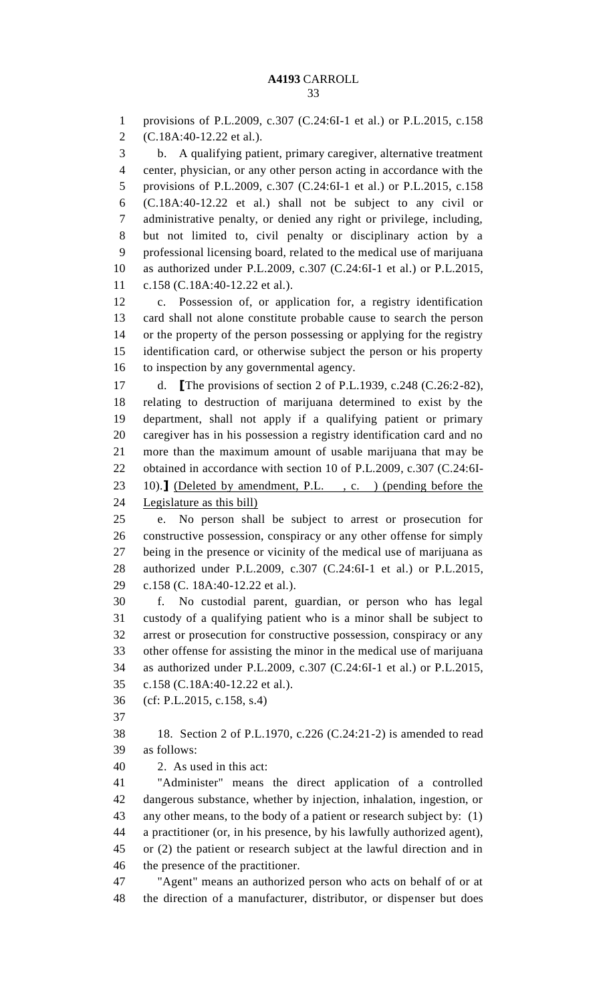provisions of P.L.2009, c.307 (C.24:6I-1 et al.) or P.L.2015, c.158 (C.18A:40-12.22 et al.). b. A qualifying patient, primary caregiver, alternative treatment center, physician, or any other person acting in accordance with the provisions of P.L.2009, c.307 (C.24:6I-1 et al.) or P.L.2015, c.158 (C.18A:40-12.22 et al.) shall not be subject to any civil or administrative penalty, or denied any right or privilege, including, but not limited to, civil penalty or disciplinary action by a professional licensing board, related to the medical use of marijuana as authorized under P.L.2009, c.307 (C.24:6I-1 et al.) or P.L.2015, c.158 (C.18A:40-12.22 et al.). c. Possession of, or application for, a registry identification card shall not alone constitute probable cause to search the person or the property of the person possessing or applying for the registry identification card, or otherwise subject the person or his property to inspection by any governmental agency. d. **[**The provisions of section 2 of P.L.1939, c.248 (C.26:2-82), relating to destruction of marijuana determined to exist by the department, shall not apply if a qualifying patient or primary caregiver has in his possession a registry identification card and no more than the maximum amount of usable marijuana that may be obtained in accordance with section 10 of P.L.2009, c.307 (C.24:6I- 10).**]** (Deleted by amendment, P.L. , c. ) (pending before the Legislature as this bill) e. No person shall be subject to arrest or prosecution for constructive possession, conspiracy or any other offense for simply being in the presence or vicinity of the medical use of marijuana as authorized under P.L.2009, c.307 (C.24:6I-1 et al.) or P.L.2015, c.158 (C. 18A:40-12.22 et al.). f. No custodial parent, guardian, or person who has legal custody of a qualifying patient who is a minor shall be subject to arrest or prosecution for constructive possession, conspiracy or any other offense for assisting the minor in the medical use of marijuana as authorized under P.L.2009, c.307 (C.24:6I-1 et al.) or P.L.2015, c.158 (C.18A:40-12.22 et al.). (cf: P.L.2015, c.158, s.4) 18. Section 2 of P.L.1970, c.226 (C.24:21-2) is amended to read as follows: 2. As used in this act: "Administer" means the direct application of a controlled dangerous substance, whether by injection, inhalation, ingestion, or any other means, to the body of a patient or research subject by: (1) a practitioner (or, in his presence, by his lawfully authorized agent), or (2) the patient or research subject at the lawful direction and in the presence of the practitioner.

 "Agent" means an authorized person who acts on behalf of or at the direction of a manufacturer, distributor, or dispenser but does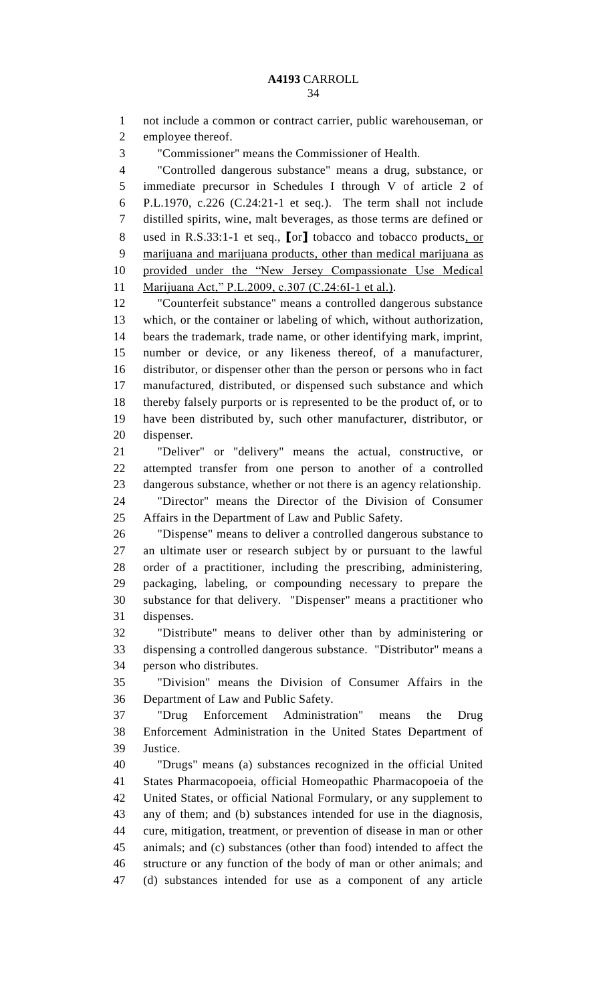not include a common or contract carrier, public warehouseman, or employee thereof. "Commissioner" means the Commissioner of Health. "Controlled dangerous substance" means a drug, substance, or immediate precursor in Schedules I through V of article 2 of P.L.1970, c.226 (C.24:21-1 et seq.). The term shall not include distilled spirits, wine, malt beverages, as those terms are defined or used in R.S.33:1-1 et seq., **[**or**]** tobacco and tobacco products, or marijuana and marijuana products, other than medical marijuana as provided under the "New Jersey Compassionate Use Medical Marijuana Act," P.L.2009, c.307 (C.24:6I-1 et al.). "Counterfeit substance" means a controlled dangerous substance which, or the container or labeling of which, without authorization, bears the trademark, trade name, or other identifying mark, imprint, number or device, or any likeness thereof, of a manufacturer, distributor, or dispenser other than the person or persons who in fact manufactured, distributed, or dispensed such substance and which thereby falsely purports or is represented to be the product of, or to have been distributed by, such other manufacturer, distributor, or dispenser. "Deliver" or "delivery" means the actual, constructive, or attempted transfer from one person to another of a controlled dangerous substance, whether or not there is an agency relationship. "Director" means the Director of the Division of Consumer Affairs in the Department of Law and Public Safety. "Dispense" means to deliver a controlled dangerous substance to an ultimate user or research subject by or pursuant to the lawful order of a practitioner, including the prescribing, administering, packaging, labeling, or compounding necessary to prepare the substance for that delivery. "Dispenser" means a practitioner who dispenses. "Distribute" means to deliver other than by administering or dispensing a controlled dangerous substance. "Distributor" means a person who distributes. "Division" means the Division of Consumer Affairs in the Department of Law and Public Safety. "Drug Enforcement Administration" means the Drug Enforcement Administration in the United States Department of Justice. "Drugs" means (a) substances recognized in the official United States Pharmacopoeia, official Homeopathic Pharmacopoeia of the United States, or official National Formulary, or any supplement to any of them; and (b) substances intended for use in the diagnosis, cure, mitigation, treatment, or prevention of disease in man or other animals; and (c) substances (other than food) intended to affect the structure or any function of the body of man or other animals; and

(d) substances intended for use as a component of any article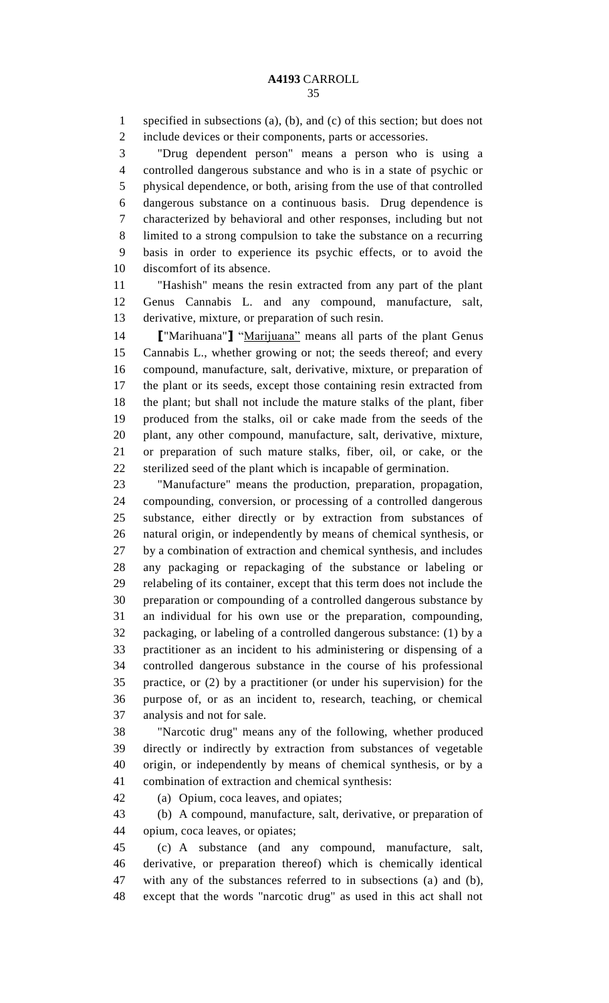specified in subsections (a), (b), and (c) of this section; but does not include devices or their components, parts or accessories.

 "Drug dependent person" means a person who is using a controlled dangerous substance and who is in a state of psychic or physical dependence, or both, arising from the use of that controlled dangerous substance on a continuous basis. Drug dependence is characterized by behavioral and other responses, including but not limited to a strong compulsion to take the substance on a recurring basis in order to experience its psychic effects, or to avoid the discomfort of its absence.

 "Hashish" means the resin extracted from any part of the plant Genus Cannabis L. and any compound, manufacture, salt, derivative, mixture, or preparation of such resin.

 **[**"Marihuana"**]** "Marijuana" means all parts of the plant Genus Cannabis L., whether growing or not; the seeds thereof; and every compound, manufacture, salt, derivative, mixture, or preparation of the plant or its seeds, except those containing resin extracted from the plant; but shall not include the mature stalks of the plant, fiber produced from the stalks, oil or cake made from the seeds of the plant, any other compound, manufacture, salt, derivative, mixture, or preparation of such mature stalks, fiber, oil, or cake, or the sterilized seed of the plant which is incapable of germination.

 "Manufacture" means the production, preparation, propagation, compounding, conversion, or processing of a controlled dangerous substance, either directly or by extraction from substances of natural origin, or independently by means of chemical synthesis, or by a combination of extraction and chemical synthesis, and includes any packaging or repackaging of the substance or labeling or relabeling of its container, except that this term does not include the preparation or compounding of a controlled dangerous substance by an individual for his own use or the preparation, compounding, packaging, or labeling of a controlled dangerous substance: (1) by a practitioner as an incident to his administering or dispensing of a controlled dangerous substance in the course of his professional practice, or (2) by a practitioner (or under his supervision) for the purpose of, or as an incident to, research, teaching, or chemical analysis and not for sale.

 "Narcotic drug" means any of the following, whether produced directly or indirectly by extraction from substances of vegetable origin, or independently by means of chemical synthesis, or by a combination of extraction and chemical synthesis:

(a) Opium, coca leaves, and opiates;

 (b) A compound, manufacture, salt, derivative, or preparation of opium, coca leaves, or opiates;

 (c) A substance (and any compound, manufacture, salt, derivative, or preparation thereof) which is chemically identical with any of the substances referred to in subsections (a) and (b), except that the words "narcotic drug" as used in this act shall not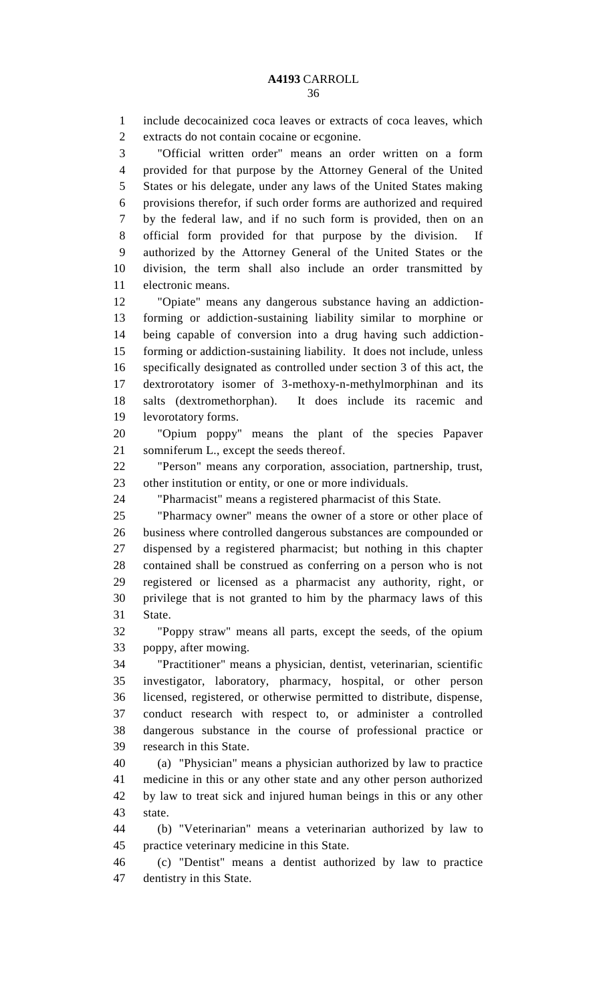include decocainized coca leaves or extracts of coca leaves, which extracts do not contain cocaine or ecgonine. "Official written order" means an order written on a form provided for that purpose by the Attorney General of the United States or his delegate, under any laws of the United States making provisions therefor, if such order forms are authorized and required by the federal law, and if no such form is provided, then on an official form provided for that purpose by the division. If authorized by the Attorney General of the United States or the division, the term shall also include an order transmitted by electronic means. "Opiate" means any dangerous substance having an addiction- forming or addiction-sustaining liability similar to morphine or being capable of conversion into a drug having such addiction- forming or addiction-sustaining liability. It does not include, unless specifically designated as controlled under section 3 of this act, the dextrorotatory isomer of 3-methoxy-n-methylmorphinan and its salts (dextromethorphan). It does include its racemic and levorotatory forms. "Opium poppy" means the plant of the species Papaver somniferum L., except the seeds thereof. "Person" means any corporation, association, partnership, trust, other institution or entity, or one or more individuals. "Pharmacist" means a registered pharmacist of this State. "Pharmacy owner" means the owner of a store or other place of business where controlled dangerous substances are compounded or dispensed by a registered pharmacist; but nothing in this chapter contained shall be construed as conferring on a person who is not registered or licensed as a pharmacist any authority, right, or privilege that is not granted to him by the pharmacy laws of this State. "Poppy straw" means all parts, except the seeds, of the opium poppy, after mowing. "Practitioner" means a physician, dentist, veterinarian, scientific investigator, laboratory, pharmacy, hospital, or other person licensed, registered, or otherwise permitted to distribute, dispense, conduct research with respect to, or administer a controlled dangerous substance in the course of professional practice or research in this State. (a) "Physician" means a physician authorized by law to practice medicine in this or any other state and any other person authorized by law to treat sick and injured human beings in this or any other state. (b) "Veterinarian" means a veterinarian authorized by law to practice veterinary medicine in this State. (c) "Dentist" means a dentist authorized by law to practice dentistry in this State.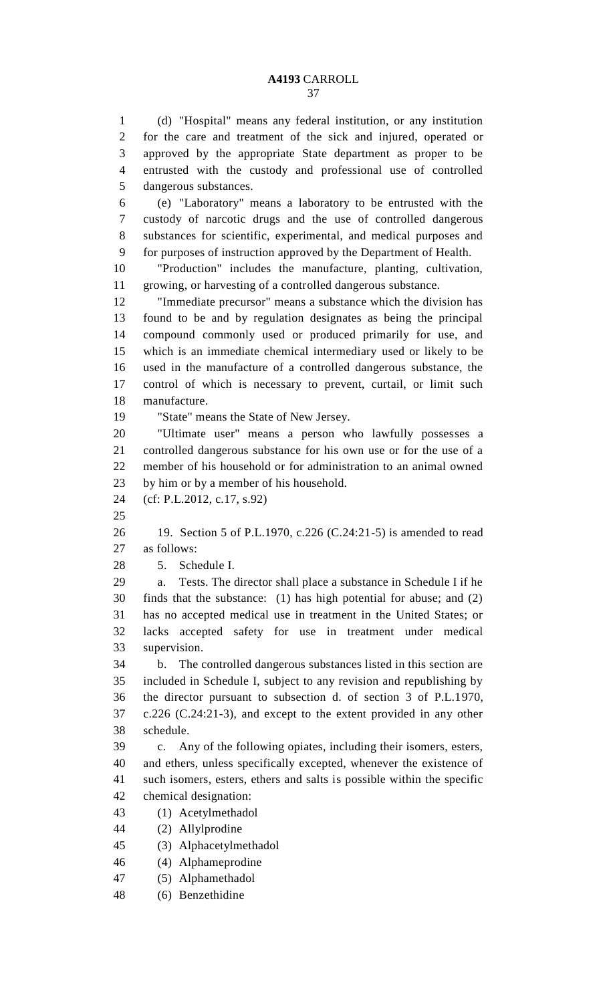(d) "Hospital" means any federal institution, or any institution for the care and treatment of the sick and injured, operated or approved by the appropriate State department as proper to be entrusted with the custody and professional use of controlled dangerous substances.

 (e) "Laboratory" means a laboratory to be entrusted with the custody of narcotic drugs and the use of controlled dangerous substances for scientific, experimental, and medical purposes and for purposes of instruction approved by the Department of Health.

 "Production" includes the manufacture, planting, cultivation, growing, or harvesting of a controlled dangerous substance.

 "Immediate precursor" means a substance which the division has found to be and by regulation designates as being the principal compound commonly used or produced primarily for use, and which is an immediate chemical intermediary used or likely to be used in the manufacture of a controlled dangerous substance, the control of which is necessary to prevent, curtail, or limit such manufacture.

"State" means the State of New Jersey.

 "Ultimate user" means a person who lawfully possesses a controlled dangerous substance for his own use or for the use of a member of his household or for administration to an animal owned by him or by a member of his household.

(cf: P.L.2012, c.17, s.92)

 19. Section 5 of P.L.1970, c.226 (C.24:21-5) is amended to read as follows:

5. Schedule I.

 a. Tests. The director shall place a substance in Schedule I if he finds that the substance: (1) has high potential for abuse; and (2) has no accepted medical use in treatment in the United States; or lacks accepted safety for use in treatment under medical supervision.

 b. The controlled dangerous substances listed in this section are included in Schedule I, subject to any revision and republishing by the director pursuant to subsection d. of section 3 of P.L.1970, c.226 (C.24:21-3), and except to the extent provided in any other schedule.

 c. Any of the following opiates, including their isomers, esters, and ethers, unless specifically excepted, whenever the existence of such isomers, esters, ethers and salts is possible within the specific chemical designation:

- (1) Acetylmethadol
- (2) Allylprodine

(3) Alphacetylmethadol

- (4) Alphameprodine
- (5) Alphamethadol
- (6) Benzethidine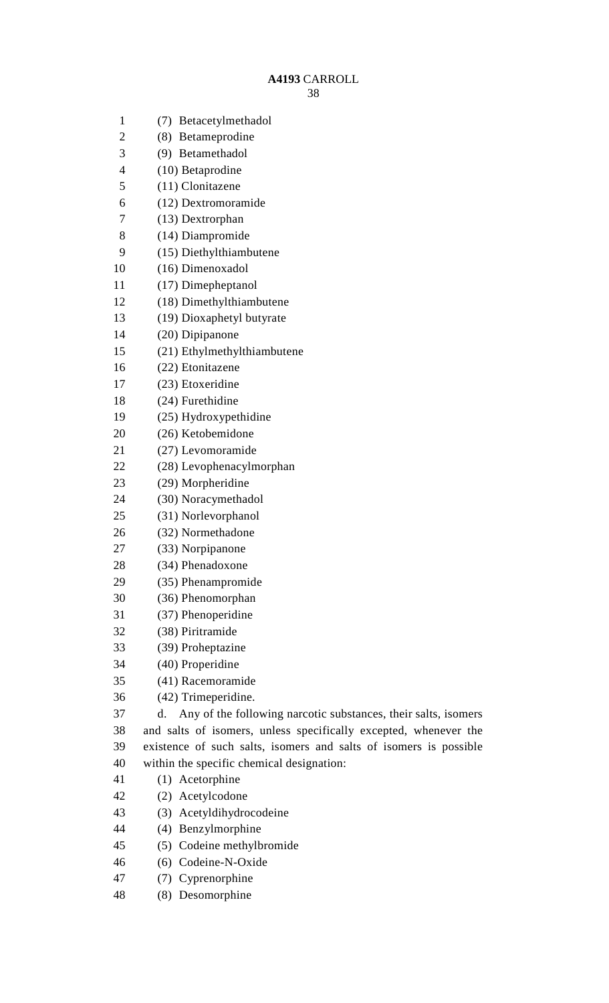- (7) Betacetylmethadol
- (8) Betameprodine
- (9) Betamethadol
- (10) Betaprodine
- (11) Clonitazene
- (12) Dextromoramide
- (13) Dextrorphan
- (14) Diampromide
- (15) Diethylthiambutene
- (16) Dimenoxadol
- (17) Dimepheptanol
- (18) Dimethylthiambutene
- (19) Dioxaphetyl butyrate
- (20) Dipipanone
- (21) Ethylmethylthiambutene
- (22) Etonitazene
- (23) Etoxeridine
- (24) Furethidine
- (25) Hydroxypethidine
- (26) Ketobemidone
- (27) Levomoramide
- (28) Levophenacylmorphan
- (29) Morpheridine
- (30) Noracymethadol
- (31) Norlevorphanol
- (32) Normethadone
- (33) Norpipanone
- (34) Phenadoxone
- (35) Phenampromide
- (36) Phenomorphan
- (37) Phenoperidine
- (38) Piritramide
- (39) Proheptazine
- (40) Properidine
- (41) Racemoramide
- (42) Trimeperidine.

 d. Any of the following narcotic substances, their salts, isomers and salts of isomers, unless specifically excepted, whenever the existence of such salts, isomers and salts of isomers is possible within the specific chemical designation:

- (1) Acetorphine
- (2) Acetylcodone
- (3) Acetyldihydrocodeine
- (4) Benzylmorphine
- (5) Codeine methylbromide
- (6) Codeine-N-Oxide
- (7) Cyprenorphine
- (8) Desomorphine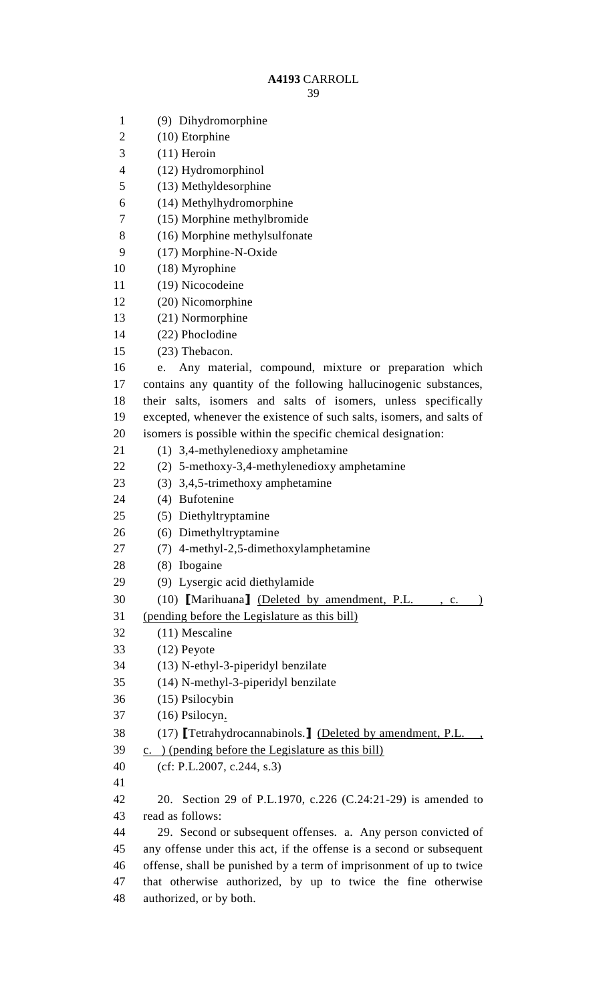- (9) Dihydromorphine (10) Etorphine (11) Heroin (12) Hydromorphinol (13) Methyldesorphine (14) Methylhydromorphine (15) Morphine methylbromide (16) Morphine methylsulfonate (17) Morphine-N-Oxide (18) Myrophine (19) Nicocodeine (20) Nicomorphine (21) Normorphine (22) Phoclodine (23) Thebacon. e. Any material, compound, mixture or preparation which contains any quantity of the following hallucinogenic substances, their salts, isomers and salts of isomers, unless specifically excepted, whenever the existence of such salts, isomers, and salts of isomers is possible within the specific chemical designation: (1) 3,4-methylenedioxy amphetamine (2) 5-methoxy-3,4-methylenedioxy amphetamine (3) 3,4,5-trimethoxy amphetamine (4) Bufotenine (5) Diethyltryptamine (6) Dimethyltryptamine (7) 4-methyl-2,5-dimethoxylamphetamine (8) Ibogaine (9) Lysergic acid diethylamide (10) **[**Marihuana**]** (Deleted by amendment, P.L. , c. ) (pending before the Legislature as this bill) (11) Mescaline (12) Peyote (13) N-ethyl-3-piperidyl benzilate (14) N-methyl-3-piperidyl benzilate (15) Psilocybin (16) Psilocyn. (17) **[**Tetrahydrocannabinols.**]** (Deleted by amendment, P.L. , c. ) (pending before the Legislature as this bill) (cf: P.L.2007, c.244, s.3) 20. Section 29 of P.L.1970, c.226 (C.24:21-29) is amended to read as follows: 29. Second or subsequent offenses. a. Any person convicted of any offense under this act, if the offense is a second or subsequent offense, shall be punished by a term of imprisonment of up to twice that otherwise authorized, by up to twice the fine otherwise
- authorized, or by both.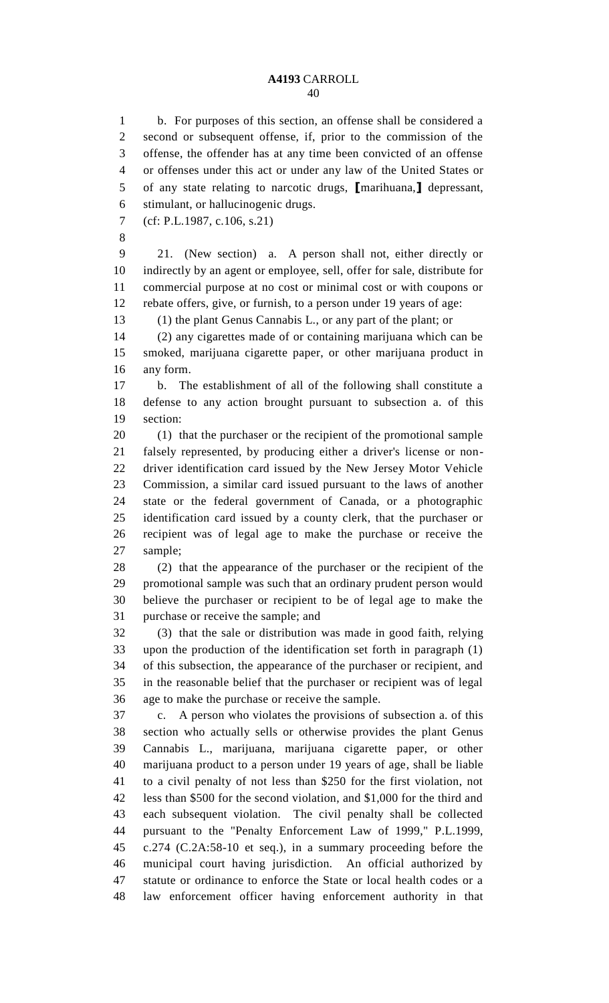b. For purposes of this section, an offense shall be considered a second or subsequent offense, if, prior to the commission of the offense, the offender has at any time been convicted of an offense or offenses under this act or under any law of the United States or of any state relating to narcotic drugs, **[**marihuana,**]** depressant, stimulant, or hallucinogenic drugs.

- (cf: P.L.1987, c.106, s.21)
- 

 21. (New section) a. A person shall not, either directly or indirectly by an agent or employee, sell, offer for sale, distribute for commercial purpose at no cost or minimal cost or with coupons or rebate offers, give, or furnish, to a person under 19 years of age:

(1) the plant Genus Cannabis L., or any part of the plant; or

 (2) any cigarettes made of or containing marijuana which can be smoked, marijuana cigarette paper, or other marijuana product in any form.

 b. The establishment of all of the following shall constitute a defense to any action brought pursuant to subsection a. of this section:

 (1) that the purchaser or the recipient of the promotional sample falsely represented, by producing either a driver's license or non- driver identification card issued by the New Jersey Motor Vehicle Commission, a similar card issued pursuant to the laws of another state or the federal government of Canada, or a photographic identification card issued by a county clerk, that the purchaser or recipient was of legal age to make the purchase or receive the sample;

 (2) that the appearance of the purchaser or the recipient of the promotional sample was such that an ordinary prudent person would believe the purchaser or recipient to be of legal age to make the purchase or receive the sample; and

 (3) that the sale or distribution was made in good faith, relying upon the production of the identification set forth in paragraph (1) of this subsection, the appearance of the purchaser or recipient, and in the reasonable belief that the purchaser or recipient was of legal age to make the purchase or receive the sample.

 c. A person who violates the provisions of subsection a. of this section who actually sells or otherwise provides the plant Genus Cannabis L., marijuana, marijuana cigarette paper, or other marijuana product to a person under 19 years of age, shall be liable to a civil penalty of not less than \$250 for the first violation, not less than \$500 for the second violation, and \$1,000 for the third and each subsequent violation. The civil penalty shall be collected pursuant to the "Penalty Enforcement Law of 1999," P.L.1999, c.274 (C.2A:58-10 et seq.), in a summary proceeding before the municipal court having jurisdiction. An official authorized by statute or ordinance to enforce the State or local health codes or a law enforcement officer having enforcement authority in that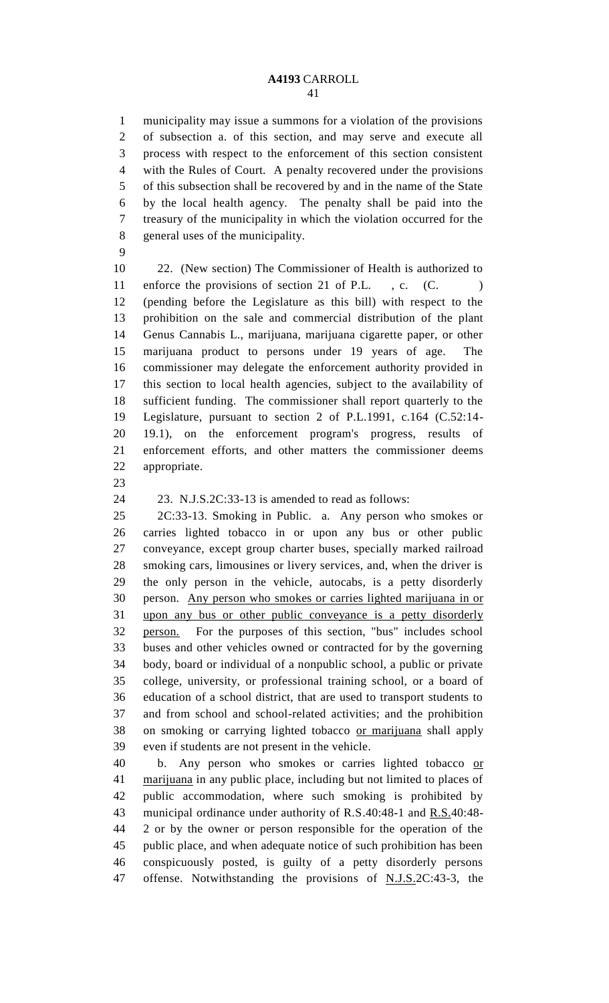municipality may issue a summons for a violation of the provisions of subsection a. of this section, and may serve and execute all process with respect to the enforcement of this section consistent with the Rules of Court. A penalty recovered under the provisions of this subsection shall be recovered by and in the name of the State by the local health agency. The penalty shall be paid into the treasury of the municipality in which the violation occurred for the general uses of the municipality.

 22. (New section) The Commissioner of Health is authorized to 11 enforce the provisions of section 21 of P.L., c. (C. (pending before the Legislature as this bill) with respect to the prohibition on the sale and commercial distribution of the plant Genus Cannabis L., marijuana, marijuana cigarette paper, or other marijuana product to persons under 19 years of age. The commissioner may delegate the enforcement authority provided in this section to local health agencies, subject to the availability of sufficient funding. The commissioner shall report quarterly to the Legislature, pursuant to section 2 of P.L.1991, c.164 (C.52:14- 19.1), on the enforcement program's progress, results of enforcement efforts, and other matters the commissioner deems appropriate.

23. N.J.S.2C:33-13 is amended to read as follows:

 2C:33-13. Smoking in Public. a. Any person who smokes or carries lighted tobacco in or upon any bus or other public conveyance, except group charter buses, specially marked railroad smoking cars, limousines or livery services, and, when the driver is the only person in the vehicle, autocabs, is a petty disorderly person. Any person who smokes or carries lighted marijuana in or upon any bus or other public conveyance is a petty disorderly person. For the purposes of this section, "bus" includes school buses and other vehicles owned or contracted for by the governing body, board or individual of a nonpublic school, a public or private college, university, or professional training school, or a board of education of a school district, that are used to transport students to and from school and school-related activities; and the prohibition on smoking or carrying lighted tobacco or marijuana shall apply even if students are not present in the vehicle.

40 b. Any person who smokes or carries lighted tobacco or marijuana in any public place, including but not limited to places of public accommodation, where such smoking is prohibited by 43 municipal ordinance under authority of R.S.40:48-1 and R.S.40:48- 2 or by the owner or person responsible for the operation of the public place, and when adequate notice of such prohibition has been conspicuously posted, is guilty of a petty disorderly persons offense. Notwithstanding the provisions of N.J.S.2C:43-3, the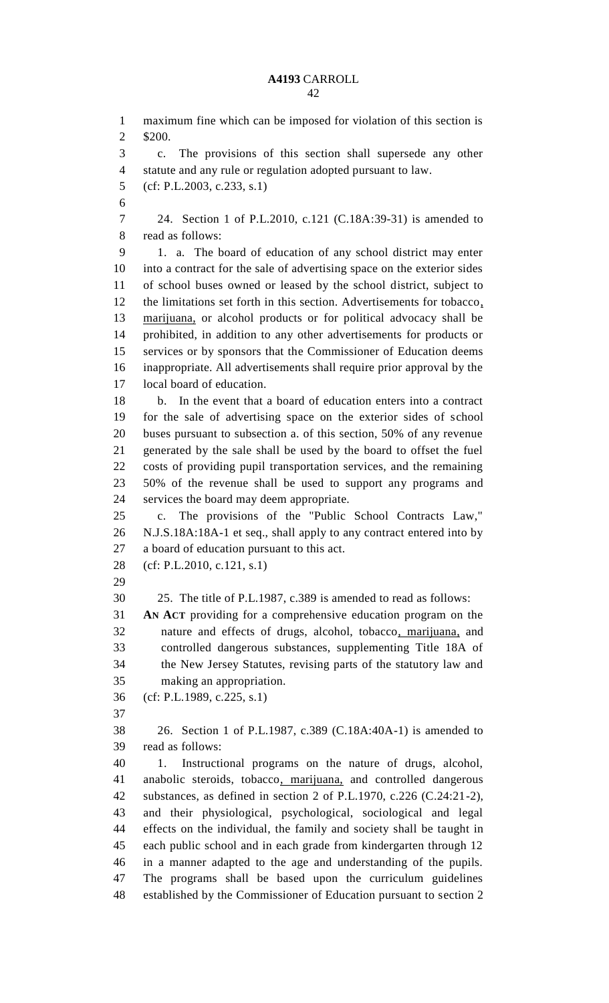maximum fine which can be imposed for violation of this section is \$200. c. The provisions of this section shall supersede any other statute and any rule or regulation adopted pursuant to law. (cf: P.L.2003, c.233, s.1) 24. Section 1 of P.L.2010, c.121 (C.18A:39-31) is amended to read as follows: 1. a. The board of education of any school district may enter into a contract for the sale of advertising space on the exterior sides of school buses owned or leased by the school district, subject to the limitations set forth in this section. Advertisements for tobacco, marijuana, or alcohol products or for political advocacy shall be prohibited, in addition to any other advertisements for products or services or by sponsors that the Commissioner of Education deems inappropriate. All advertisements shall require prior approval by the local board of education. b. In the event that a board of education enters into a contract for the sale of advertising space on the exterior sides of school buses pursuant to subsection a. of this section, 50% of any revenue generated by the sale shall be used by the board to offset the fuel costs of providing pupil transportation services, and the remaining 50% of the revenue shall be used to support any programs and services the board may deem appropriate. c. The provisions of the "Public School Contracts Law," N.J.S.18A:18A-1 et seq., shall apply to any contract entered into by a board of education pursuant to this act. (cf: P.L.2010, c.121, s.1) 25. The title of P.L.1987, c.389 is amended to read as follows: **AN ACT** providing for a comprehensive education program on the nature and effects of drugs, alcohol, tobacco, marijuana, and controlled dangerous substances, supplementing Title 18A of the New Jersey Statutes, revising parts of the statutory law and making an appropriation. (cf: P.L.1989, c.225, s.1) 26. Section 1 of P.L.1987, c.389 (C.18A:40A-1) is amended to read as follows: 1. Instructional programs on the nature of drugs, alcohol, anabolic steroids, tobacco, marijuana, and controlled dangerous substances, as defined in section 2 of P.L.1970, c.226 (C.24:21-2), and their physiological, psychological, sociological and legal effects on the individual, the family and society shall be taught in each public school and in each grade from kindergarten through 12 in a manner adapted to the age and understanding of the pupils. The programs shall be based upon the curriculum guidelines established by the Commissioner of Education pursuant to section 2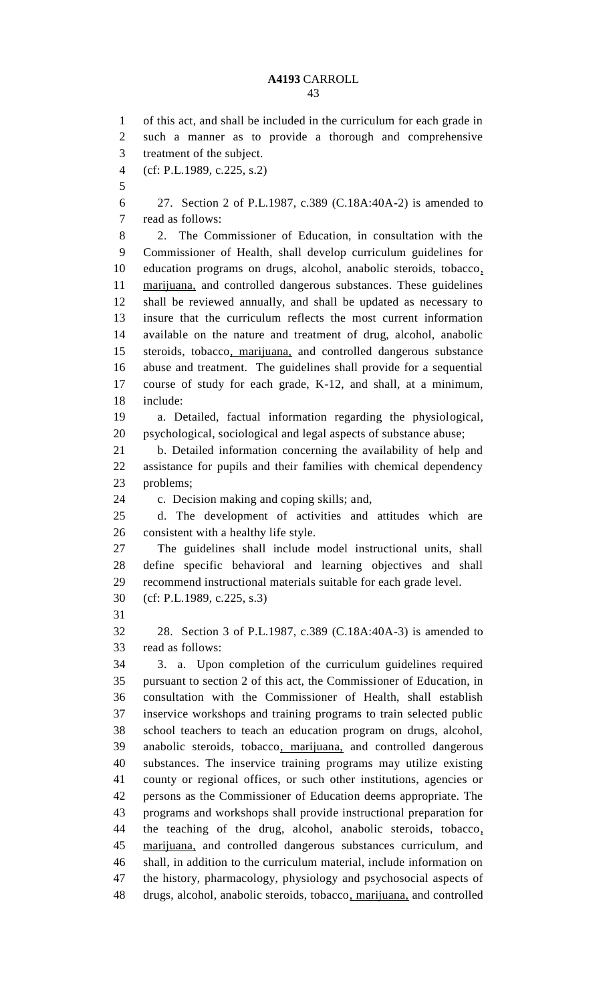of this act, and shall be included in the curriculum for each grade in such a manner as to provide a thorough and comprehensive treatment of the subject. (cf: P.L.1989, c.225, s.2) 27. Section 2 of P.L.1987, c.389 (C.18A:40A-2) is amended to read as follows: 2. The Commissioner of Education, in consultation with the Commissioner of Health, shall develop curriculum guidelines for education programs on drugs, alcohol, anabolic steroids, tobacco, marijuana, and controlled dangerous substances. These guidelines shall be reviewed annually, and shall be updated as necessary to insure that the curriculum reflects the most current information available on the nature and treatment of drug, alcohol, anabolic steroids, tobacco, marijuana, and controlled dangerous substance abuse and treatment. The guidelines shall provide for a sequential course of study for each grade, K-12, and shall, at a minimum, include: a. Detailed, factual information regarding the physiological, psychological, sociological and legal aspects of substance abuse; b. Detailed information concerning the availability of help and assistance for pupils and their families with chemical dependency problems; c. Decision making and coping skills; and, d. The development of activities and attitudes which are consistent with a healthy life style. The guidelines shall include model instructional units, shall define specific behavioral and learning objectives and shall recommend instructional materials suitable for each grade level. (cf: P.L.1989, c.225, s.3) 28. Section 3 of P.L.1987, c.389 (C.18A:40A-3) is amended to read as follows: 3. a. Upon completion of the curriculum guidelines required pursuant to section 2 of this act, the Commissioner of Education, in consultation with the Commissioner of Health, shall establish inservice workshops and training programs to train selected public school teachers to teach an education program on drugs, alcohol, anabolic steroids, tobacco, marijuana, and controlled dangerous substances. The inservice training programs may utilize existing county or regional offices, or such other institutions, agencies or persons as the Commissioner of Education deems appropriate. The programs and workshops shall provide instructional preparation for the teaching of the drug, alcohol, anabolic steroids, tobacco, marijuana, and controlled dangerous substances curriculum, and shall, in addition to the curriculum material, include information on the history, pharmacology, physiology and psychosocial aspects of drugs, alcohol, anabolic steroids, tobacco, marijuana, and controlled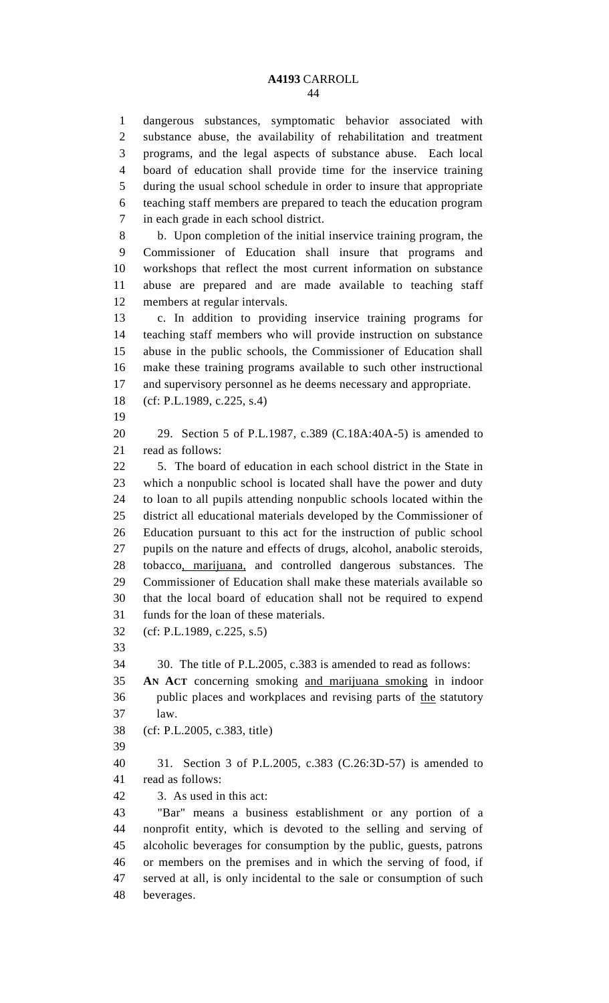#### **A4193** CARROLL  $\overline{A}$

 dangerous substances, symptomatic behavior associated with substance abuse, the availability of rehabilitation and treatment programs, and the legal aspects of substance abuse. Each local board of education shall provide time for the inservice training during the usual school schedule in order to insure that appropriate teaching staff members are prepared to teach the education program in each grade in each school district.

 b. Upon completion of the initial inservice training program, the Commissioner of Education shall insure that programs and workshops that reflect the most current information on substance abuse are prepared and are made available to teaching staff members at regular intervals.

 c. In addition to providing inservice training programs for teaching staff members who will provide instruction on substance abuse in the public schools, the Commissioner of Education shall make these training programs available to such other instructional and supervisory personnel as he deems necessary and appropriate.

- (cf: P.L.1989, c.225, s.4)
- 

 29. Section 5 of P.L.1987, c.389 (C.18A:40A-5) is amended to read as follows:

 5. The board of education in each school district in the State in which a nonpublic school is located shall have the power and duty to loan to all pupils attending nonpublic schools located within the district all educational materials developed by the Commissioner of Education pursuant to this act for the instruction of public school pupils on the nature and effects of drugs, alcohol, anabolic steroids, tobacco, marijuana, and controlled dangerous substances. The Commissioner of Education shall make these materials available so that the local board of education shall not be required to expend funds for the loan of these materials.

(cf: P.L.1989, c.225, s.5)

30. The title of P.L.2005, c.383 is amended to read as follows:

 **AN ACT** concerning smoking and marijuana smoking in indoor 36 public places and workplaces and revising parts of the statutory law.

(cf: P.L.2005, c.383, title)

 31. Section 3 of P.L.2005, c.383 (C.26:3D-57) is amended to read as follows:

3. As used in this act:

 "Bar" means a business establishment or any portion of a nonprofit entity, which is devoted to the selling and serving of alcoholic beverages for consumption by the public, guests, patrons or members on the premises and in which the serving of food, if served at all, is only incidental to the sale or consumption of such beverages.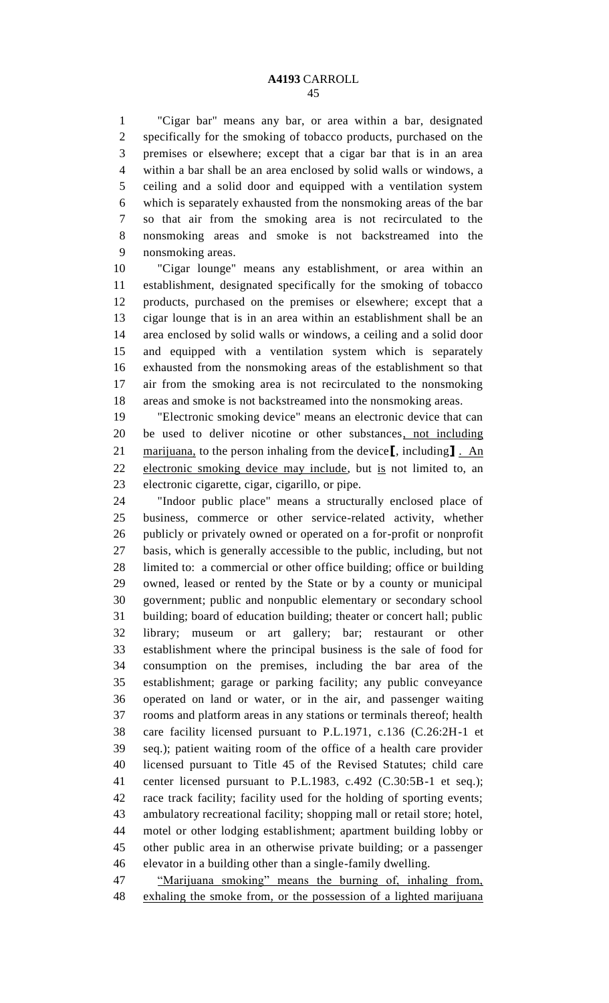"Cigar bar" means any bar, or area within a bar, designated specifically for the smoking of tobacco products, purchased on the premises or elsewhere; except that a cigar bar that is in an area within a bar shall be an area enclosed by solid walls or windows, a ceiling and a solid door and equipped with a ventilation system which is separately exhausted from the nonsmoking areas of the bar so that air from the smoking area is not recirculated to the nonsmoking areas and smoke is not backstreamed into the nonsmoking areas.

 "Cigar lounge" means any establishment, or area within an establishment, designated specifically for the smoking of tobacco products, purchased on the premises or elsewhere; except that a cigar lounge that is in an area within an establishment shall be an area enclosed by solid walls or windows, a ceiling and a solid door and equipped with a ventilation system which is separately exhausted from the nonsmoking areas of the establishment so that air from the smoking area is not recirculated to the nonsmoking areas and smoke is not backstreamed into the nonsmoking areas.

 "Electronic smoking device" means an electronic device that can be used to deliver nicotine or other substances, not including marijuana, to the person inhaling from the device**[**, including**]** . An 22 electronic smoking device may include, but is not limited to, an electronic cigarette, cigar, cigarillo, or pipe.

 "Indoor public place" means a structurally enclosed place of business, commerce or other service-related activity, whether publicly or privately owned or operated on a for-profit or nonprofit basis, which is generally accessible to the public, including, but not limited to: a commercial or other office building; office or building owned, leased or rented by the State or by a county or municipal government; public and nonpublic elementary or secondary school building; board of education building; theater or concert hall; public library; museum or art gallery; bar; restaurant or other establishment where the principal business is the sale of food for consumption on the premises, including the bar area of the establishment; garage or parking facility; any public conveyance operated on land or water, or in the air, and passenger waiting rooms and platform areas in any stations or terminals thereof; health care facility licensed pursuant to P.L.1971, c.136 (C.26:2H-1 et seq.); patient waiting room of the office of a health care provider licensed pursuant to Title 45 of the Revised Statutes; child care center licensed pursuant to P.L.1983, c.492 (C.30:5B-1 et seq.); race track facility; facility used for the holding of sporting events; ambulatory recreational facility; shopping mall or retail store; hotel, motel or other lodging establishment; apartment building lobby or other public area in an otherwise private building; or a passenger elevator in a building other than a single-family dwelling.

 "Marijuana smoking" means the burning of, inhaling from, exhaling the smoke from, or the possession of a lighted marijuana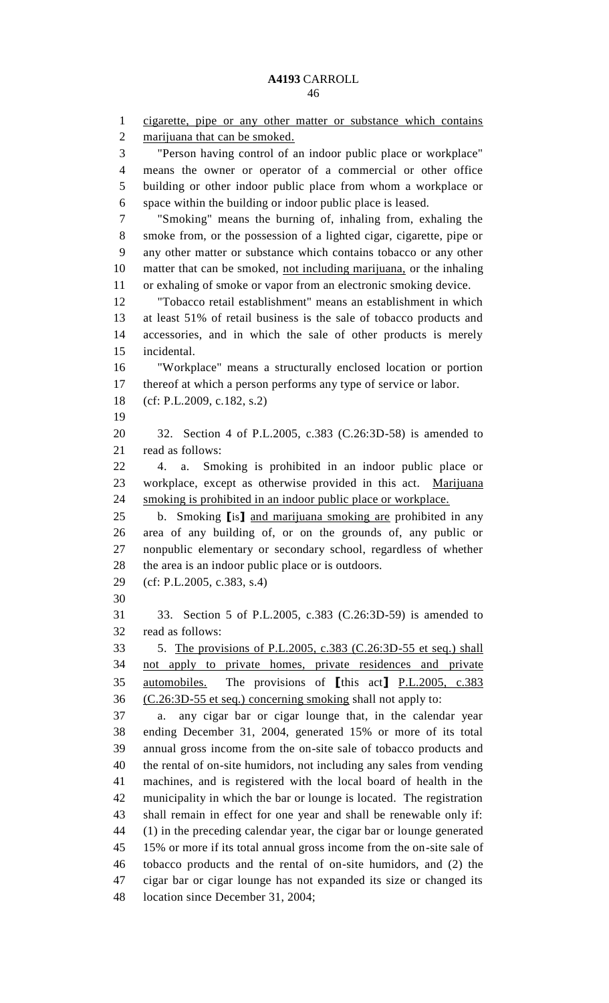cigarette, pipe or any other matter or substance which contains marijuana that can be smoked. "Person having control of an indoor public place or workplace" means the owner or operator of a commercial or other office building or other indoor public place from whom a workplace or space within the building or indoor public place is leased. "Smoking" means the burning of, inhaling from, exhaling the smoke from, or the possession of a lighted cigar, cigarette, pipe or any other matter or substance which contains tobacco or any other matter that can be smoked, not including marijuana, or the inhaling or exhaling of smoke or vapor from an electronic smoking device. "Tobacco retail establishment" means an establishment in which at least 51% of retail business is the sale of tobacco products and accessories, and in which the sale of other products is merely incidental. "Workplace" means a structurally enclosed location or portion thereof at which a person performs any type of service or labor. (cf: P.L.2009, c.182, s.2) 32. Section 4 of P.L.2005, c.383 (C.26:3D-58) is amended to read as follows: 4. a. Smoking is prohibited in an indoor public place or 23 workplace, except as otherwise provided in this act. Marijuana smoking is prohibited in an indoor public place or workplace. b. Smoking **[**is**]** and marijuana smoking are prohibited in any area of any building of, or on the grounds of, any public or nonpublic elementary or secondary school, regardless of whether the area is an indoor public place or is outdoors. (cf: P.L.2005, c.383, s.4) 33. Section 5 of P.L.2005, c.383 (C.26:3D-59) is amended to read as follows: 5. The provisions of P.L.2005, c.383 (C.26:3D-55 et seq.) shall 34 not apply to private homes, private residences and private automobiles. The provisions of **[**this act**]** P.L.2005, c.383 (C.26:3D-55 et seq.) concerning smoking shall not apply to: a. any cigar bar or cigar lounge that, in the calendar year ending December 31, 2004, generated 15% or more of its total annual gross income from the on-site sale of tobacco products and the rental of on-site humidors, not including any sales from vending machines, and is registered with the local board of health in the municipality in which the bar or lounge is located. The registration shall remain in effect for one year and shall be renewable only if: (1) in the preceding calendar year, the cigar bar or lounge generated 15% or more if its total annual gross income from the on-site sale of tobacco products and the rental of on-site humidors, and (2) the cigar bar or cigar lounge has not expanded its size or changed its location since December 31, 2004;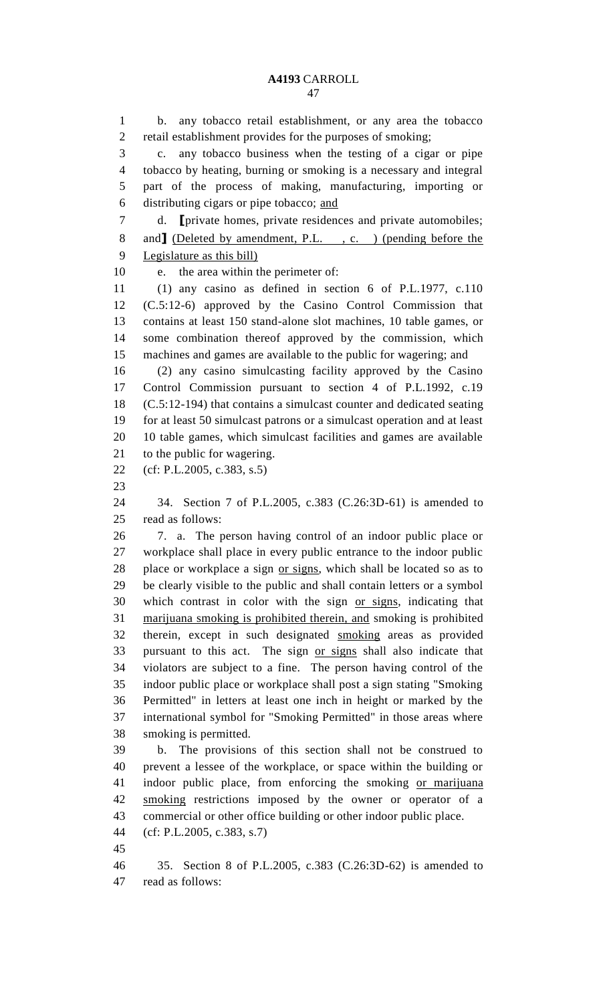b. any tobacco retail establishment, or any area the tobacco retail establishment provides for the purposes of smoking; c. any tobacco business when the testing of a cigar or pipe tobacco by heating, burning or smoking is a necessary and integral part of the process of making, manufacturing, importing or distributing cigars or pipe tobacco; and d. **[**private homes, private residences and private automobiles; 8 and **J** (Deleted by amendment, P.L., c.) (pending before the Legislature as this bill) e. the area within the perimeter of: (1) any casino as defined in section 6 of P.L.1977, c.110 (C.5:12-6) approved by the Casino Control Commission that contains at least 150 stand-alone slot machines, 10 table games, or some combination thereof approved by the commission, which machines and games are available to the public for wagering; and (2) any casino simulcasting facility approved by the Casino Control Commission pursuant to section 4 of P.L.1992, c.19 (C.5:12-194) that contains a simulcast counter and dedicated seating for at least 50 simulcast patrons or a simulcast operation and at least 10 table games, which simulcast facilities and games are available to the public for wagering. (cf: P.L.2005, c.383, s.5) 34. Section 7 of P.L.2005, c.383 (C.26:3D-61) is amended to read as follows: 7. a. The person having control of an indoor public place or workplace shall place in every public entrance to the indoor public 28 place or workplace a sign or signs, which shall be located so as to be clearly visible to the public and shall contain letters or a symbol which contrast in color with the sign or signs, indicating that marijuana smoking is prohibited therein, and smoking is prohibited therein, except in such designated smoking areas as provided pursuant to this act. The sign or signs shall also indicate that violators are subject to a fine. The person having control of the indoor public place or workplace shall post a sign stating "Smoking Permitted" in letters at least one inch in height or marked by the international symbol for "Smoking Permitted" in those areas where smoking is permitted. b. The provisions of this section shall not be construed to prevent a lessee of the workplace, or space within the building or 41 indoor public place, from enforcing the smoking or marijuana smoking restrictions imposed by the owner or operator of a commercial or other office building or other indoor public place. (cf: P.L.2005, c.383, s.7) 35. Section 8 of P.L.2005, c.383 (C.26:3D-62) is amended to read as follows: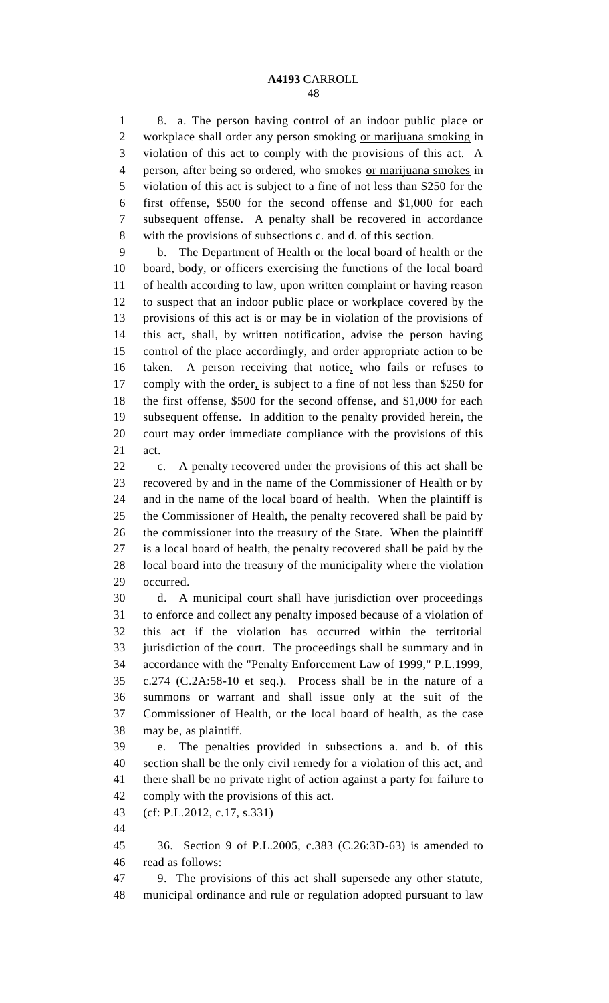8. a. The person having control of an indoor public place or workplace shall order any person smoking or marijuana smoking in violation of this act to comply with the provisions of this act. A person, after being so ordered, who smokes or marijuana smokes in violation of this act is subject to a fine of not less than \$250 for the first offense, \$500 for the second offense and \$1,000 for each subsequent offense. A penalty shall be recovered in accordance with the provisions of subsections c. and d. of this section.

 b. The Department of Health or the local board of health or the board, body, or officers exercising the functions of the local board of health according to law, upon written complaint or having reason to suspect that an indoor public place or workplace covered by the provisions of this act is or may be in violation of the provisions of this act, shall, by written notification, advise the person having control of the place accordingly, and order appropriate action to be taken. A person receiving that notice, who fails or refuses to comply with the order, is subject to a fine of not less than \$250 for the first offense, \$500 for the second offense, and \$1,000 for each subsequent offense. In addition to the penalty provided herein, the court may order immediate compliance with the provisions of this act.

 c. A penalty recovered under the provisions of this act shall be recovered by and in the name of the Commissioner of Health or by and in the name of the local board of health. When the plaintiff is the Commissioner of Health, the penalty recovered shall be paid by the commissioner into the treasury of the State. When the plaintiff is a local board of health, the penalty recovered shall be paid by the local board into the treasury of the municipality where the violation occurred.

 d. A municipal court shall have jurisdiction over proceedings to enforce and collect any penalty imposed because of a violation of this act if the violation has occurred within the territorial jurisdiction of the court. The proceedings shall be summary and in accordance with the "Penalty Enforcement Law of 1999," P.L.1999, c.274 (C.2A:58-10 et seq.). Process shall be in the nature of a summons or warrant and shall issue only at the suit of the Commissioner of Health, or the local board of health, as the case may be, as plaintiff.

 e. The penalties provided in subsections a. and b. of this section shall be the only civil remedy for a violation of this act, and there shall be no private right of action against a party for failure to comply with the provisions of this act.

(cf: P.L.2012, c.17, s.331)

 36. Section 9 of P.L.2005, c.383 (C.26:3D-63) is amended to read as follows:

 9. The provisions of this act shall supersede any other statute, municipal ordinance and rule or regulation adopted pursuant to law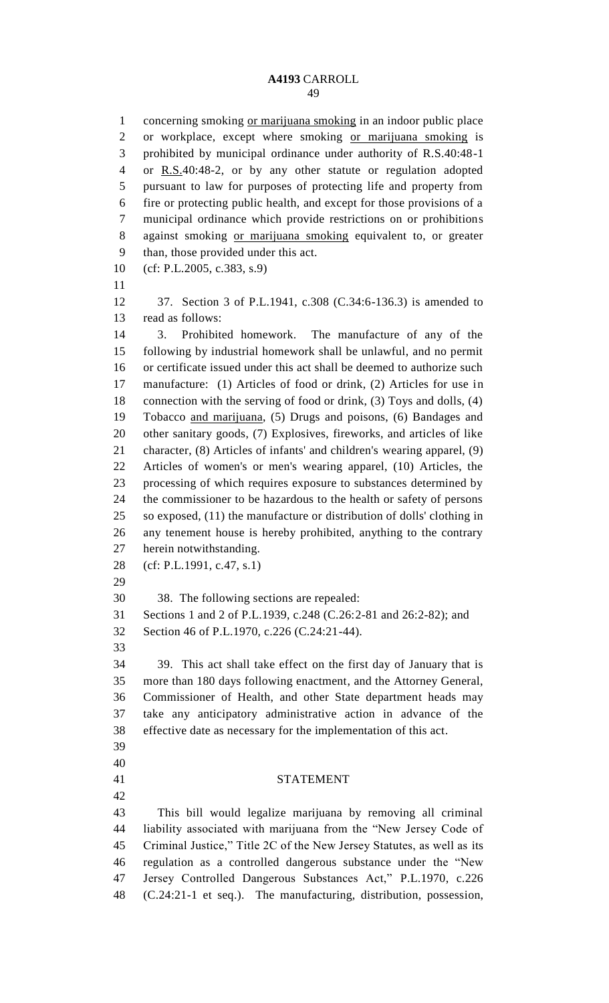1 concerning smoking or marijuana smoking in an indoor public place or workplace, except where smoking or marijuana smoking is prohibited by municipal ordinance under authority of R.S.40:48-1 or R.S.40:48-2, or by any other statute or regulation adopted pursuant to law for purposes of protecting life and property from fire or protecting public health, and except for those provisions of a municipal ordinance which provide restrictions on or prohibitions against smoking or marijuana smoking equivalent to, or greater than, those provided under this act. (cf: P.L.2005, c.383, s.9) 37. Section 3 of P.L.1941, c.308 (C.34:6-136.3) is amended to read as follows: 3. Prohibited homework. The manufacture of any of the following by industrial homework shall be unlawful, and no permit or certificate issued under this act shall be deemed to authorize such manufacture: (1) Articles of food or drink, (2) Articles for use in connection with the serving of food or drink, (3) Toys and dolls, (4) Tobacco and marijuana, (5) Drugs and poisons, (6) Bandages and other sanitary goods, (7) Explosives, fireworks, and articles of like character, (8) Articles of infants' and children's wearing apparel, (9) Articles of women's or men's wearing apparel, (10) Articles, the

- processing of which requires exposure to substances determined by the commissioner to be hazardous to the health or safety of persons so exposed, (11) the manufacture or distribution of dolls' clothing in any tenement house is hereby prohibited, anything to the contrary herein notwithstanding.
- (cf: P.L.1991, c.47, s.1)
- 

38. The following sections are repealed:

Sections 1 and 2 of P.L.1939, c.248 (C.26:2-81 and 26:2-82); and

- Section 46 of P.L.1970, c.226 (C.24:21-44).
- 

 39. This act shall take effect on the first day of January that is more than 180 days following enactment, and the Attorney General, Commissioner of Health, and other State department heads may take any anticipatory administrative action in advance of the effective date as necessary for the implementation of this act.

- 
- 
- 

#### STATEMENT

 This bill would legalize marijuana by removing all criminal liability associated with marijuana from the "New Jersey Code of Criminal Justice," Title 2C of the New Jersey Statutes, as well as its regulation as a controlled dangerous substance under the "New Jersey Controlled Dangerous Substances Act," P.L.1970, c.226 (C.24:21-1 et seq.). The manufacturing, distribution, possession,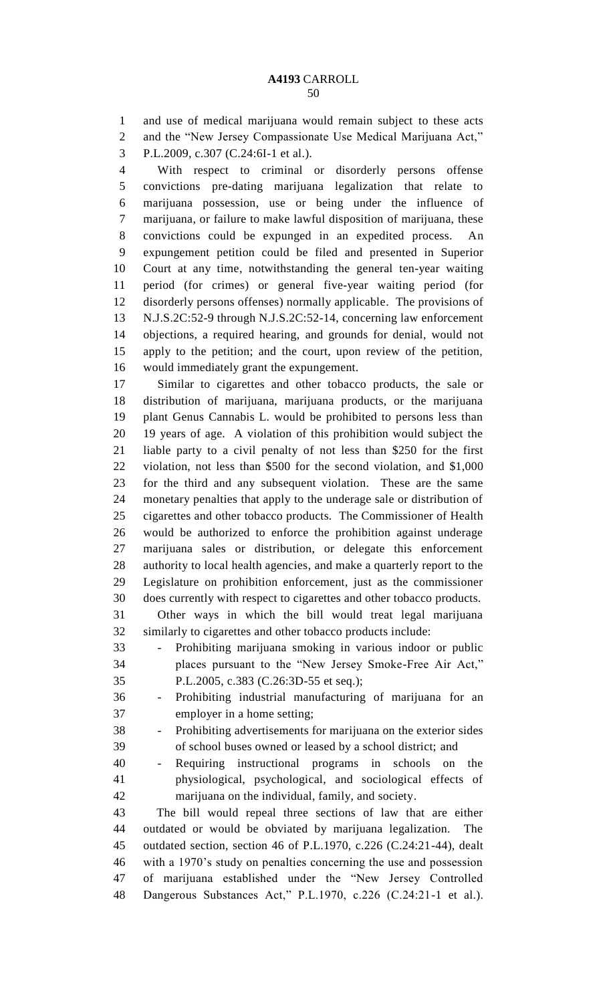and use of medical marijuana would remain subject to these acts

and the "New Jersey Compassionate Use Medical Marijuana Act,"

P.L.2009, c.307 (C.24:6I-1 et al.).

 With respect to criminal or disorderly persons offense convictions pre-dating marijuana legalization that relate to marijuana possession, use or being under the influence of marijuana, or failure to make lawful disposition of marijuana, these convictions could be expunged in an expedited process. An expungement petition could be filed and presented in Superior Court at any time, notwithstanding the general ten-year waiting period (for crimes) or general five-year waiting period (for disorderly persons offenses) normally applicable. The provisions of N.J.S.2C:52-9 through N.J.S.2C:52-14, concerning law enforcement objections, a required hearing, and grounds for denial, would not apply to the petition; and the court, upon review of the petition, would immediately grant the expungement.

 Similar to cigarettes and other tobacco products, the sale or distribution of marijuana, marijuana products, or the marijuana plant Genus Cannabis L. would be prohibited to persons less than 19 years of age. A violation of this prohibition would subject the liable party to a civil penalty of not less than \$250 for the first violation, not less than \$500 for the second violation, and \$1,000 for the third and any subsequent violation. These are the same monetary penalties that apply to the underage sale or distribution of cigarettes and other tobacco products. The Commissioner of Health would be authorized to enforce the prohibition against underage marijuana sales or distribution, or delegate this enforcement authority to local health agencies, and make a quarterly report to the Legislature on prohibition enforcement, just as the commissioner does currently with respect to cigarettes and other tobacco products.

 Other ways in which the bill would treat legal marijuana similarly to cigarettes and other tobacco products include:

 - Prohibiting marijuana smoking in various indoor or public places pursuant to the "New Jersey Smoke-Free Air Act," P.L.2005, c.383 (C.26:3D-55 et seq.);

 - Prohibiting industrial manufacturing of marijuana for an employer in a home setting;

 - Prohibiting advertisements for marijuana on the exterior sides of school buses owned or leased by a school district; and

 - Requiring instructional programs in schools on the physiological, psychological, and sociological effects of marijuana on the individual, family, and society.

 The bill would repeal three sections of law that are either outdated or would be obviated by marijuana legalization. The outdated section, section 46 of P.L.1970, c.226 (C.24:21-44), dealt with a 1970's study on penalties concerning the use and possession of marijuana established under the "New Jersey Controlled Dangerous Substances Act," P.L.1970, c.226 (C.24:21-1 et al.).